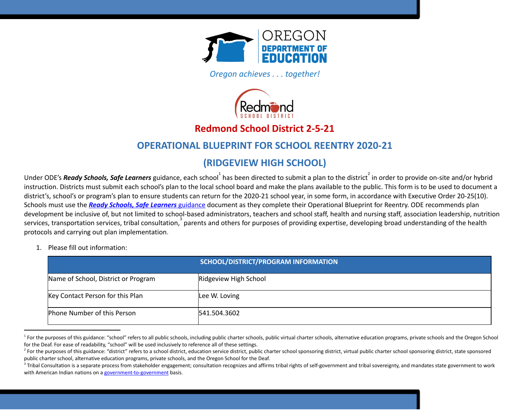

*Oregon achieves . . . together!* 



# **Redmond School District 2-5-21**

# **OPERATIONAL BLUEPRINT FOR SCHOOL REENTRY 2020-21**

# **(RIDGEVIEW HIGH SCHOOL)**

Under ODE's **Ready Schools, Safe Learners** guidance, each school $^1$  has been directed to submit a plan to the district  $^2$  in order to provide on-site and/or hybrid instruction. Districts must submit each school's plan to the local school board and make the plans available to the public. This form is to be used to document a district's, school's or program's plan to ensure students can return for the 2020-21 school year, in some form, in accordance with Executive Order 20-25(10). Schools must use the *Ready Schools, Safe [Learners](https://www.oregon.gov/ode/students-and-family/healthsafety/Documents/Ready%20Schools%20Safe%20Learners%202020-21%20Guidance.pdf)* [guidance](https://www.oregon.gov/ode/students-and-family/healthsafety/Documents/Ready%20Schools%20Safe%20Learners%202020-21%20Guidance.pdf) document as they complete their Operational Blueprint for Reentry. ODE recommends plan development be inclusive of, but not limited to school-based administrators, teachers and school staff, health and nursing staff, association leadership, nutrition services, transportation services, tribal consultation, parents and others for purposes of providing expertise, developing broad understanding of the health protocols and carrying out plan implementation.

1. Please fill out information:

|                                     | SCHOOL/DISTRICT/PROGRAM INFORMATION |
|-------------------------------------|-------------------------------------|
| Name of School, District or Program | Ridgeview High School               |
| Key Contact Person for this Plan    | Lee W. Loving                       |
| Phone Number of this Person         | 541.504.3602                        |

<sup>&</sup>lt;sup>1</sup> For the purposes of this guidance: "school" refers to all public schools, including public charter schools, public virtual charter schools, alternative education programs, private schools and the Oregon School for the Deaf. For ease of readability, "school" will be used inclusively to reference all of these settings.

<sup>&</sup>lt;sup>2</sup> For the purposes of this guidance: "district" refers to a school district, education service district, public charter school sponsoring district as the sponsoring district, state sponsored public charter school, alternative education programs, private schools, and the Oregon School for the Deaf.

<sup>&</sup>lt;sup>3</sup> Tribal Consultation is a separate process from stakeholder engagement; consultation recognizes and affirms tribal rights of self-government and tribal sovereignty, and mandates state government to work with American Indian nations on a [government-to-government](http://www.nrc4tribes.org/files/Tab%209_9H%20Oregon%20SB770.pdf) basis.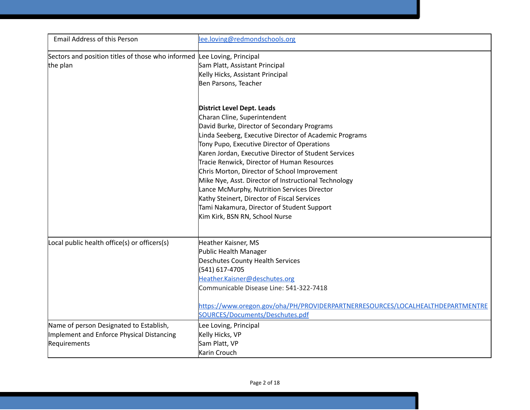| <b>Email Address of this Person</b>                                     | lee.loving@redmondschools.org                                                  |
|-------------------------------------------------------------------------|--------------------------------------------------------------------------------|
| Sectors and position titles of those who informed Lee Loving, Principal |                                                                                |
| the plan                                                                | Sam Platt, Assistant Principal                                                 |
|                                                                         | Kelly Hicks, Assistant Principal                                               |
|                                                                         | Ben Parsons, Teacher                                                           |
|                                                                         | <b>District Level Dept. Leads</b>                                              |
|                                                                         | Charan Cline, Superintendent                                                   |
|                                                                         | David Burke, Director of Secondary Programs                                    |
|                                                                         | Linda Seeberg, Executive Director of Academic Programs                         |
|                                                                         | Tony Pupo, Executive Director of Operations                                    |
|                                                                         | Karen Jordan, Executive Director of Student Services                           |
|                                                                         | Tracie Renwick, Director of Human Resources                                    |
|                                                                         | Chris Morton, Director of School Improvement                                   |
|                                                                         | Mike Nye, Asst. Director of Instructional Technology                           |
|                                                                         | Lance McMurphy, Nutrition Services Director                                    |
|                                                                         | Kathy Steinert, Director of Fiscal Services                                    |
|                                                                         | Tami Nakamura, Director of Student Support                                     |
|                                                                         | Kim Kirk, BSN RN, School Nurse                                                 |
| Local public health office(s) or officers(s)                            | Heather Kaisner, MS                                                            |
|                                                                         | Public Health Manager                                                          |
|                                                                         | Deschutes County Health Services                                               |
|                                                                         | (541) 617-4705                                                                 |
|                                                                         | Heather.Kaisner@deschutes.org                                                  |
|                                                                         | Communicable Disease Line: 541-322-7418                                        |
|                                                                         | https://www.oregon.gov/oha/PH/PROVIDERPARTNERRESOURCES/LOCALHEALTHDEPARTMENTRE |
|                                                                         | SOURCES/Documents/Deschutes.pdf                                                |
| Name of person Designated to Establish,                                 | Lee Loving, Principal                                                          |
| Implement and Enforce Physical Distancing                               | Kelly Hicks, VP                                                                |
| Requirements                                                            | Sam Platt, VP                                                                  |
|                                                                         | Karin Crouch                                                                   |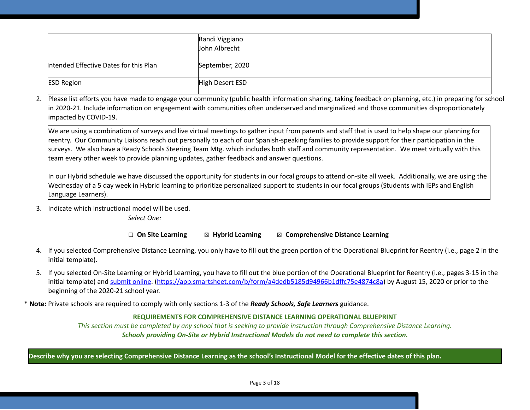|                                        | Randi Viggiano<br>John Albrecht |
|----------------------------------------|---------------------------------|
| Intended Effective Dates for this Plan | September, 2020                 |
| <b>ESD Region</b>                      | High Desert ESD                 |

2. Please list efforts you have made to engage your community (public health information sharing, taking feedback on planning, etc.) in preparing for school in 2020-21. Include information on engagement with communities often underserved and marginalized and those communities disproportionately impacted by COVID-19.

We are using a combination of surveys and live virtual meetings to gather input from parents and staff that is used to help shape our planning for reentry. Our Community Liaisons reach out personally to each of our Spanish-speaking families to provide support for their participation in the surveys. We also have a Ready Schools Steering Team Mtg. which includes both staff and community representation. We meet virtually with this team every other week to provide planning updates, gather feedback and answer questions.

In our Hybrid schedule we have discussed the opportunity for students in our focal groups to attend on-site all week. Additionally, we are using the Wednesday of a 5 day week in Hybrid learning to prioritize personalized support to students in our focal groups (Students with IEPs and English Language Learners).

3. Indicate which instructional model will be used.

*Select One:*

#### ☐ **On Site Learning** ☒ **Hybrid Learning** ☒ **Comprehensive Distance Learning**

- 4. If you selected Comprehensive Distance Learning, you only have to fill out the green portion of the Operational Blueprint for Reentry (i.e., page 2 in the initial template).
- 5. If you selected On-Site Learning or Hybrid Learning, you have to fill out the blue portion of the Operational Blueprint for Reentry (i.e., pages 3-15 in the initial template) and [submit](https://app.smartsheet.com/b/form/a4dedb5185d94966b1dffc75e4874c8a) online. ([https://app.smartsheet.com/b/form/a4dedb5185d94966b1dffc75e4874c8a\)](https://app.smartsheet.com/b/form/a4dedb5185d94966b1dffc75e4874c8a) by August 15, 2020 or prior to the beginning of the 2020-21 school year.

\* **Note:** Private schools are required to comply with only sections 1-3 of the *Ready Schools, Safe Learners* guidance.

## **REQUIREMENTS FOR COMPREHENSIVE DISTANCE LEARNING OPERATIONAL BLUEPRINT**

This section must be completed by any school that is seeking to provide instruction through Comprehensive Distance Learning. *Schools providing On-Site or Hybrid Instructional Models do not need to complete this section.*

Describe why you are selecting Comprehensive Distance Learning as the school's Instructional Model for the effective dates of this plan.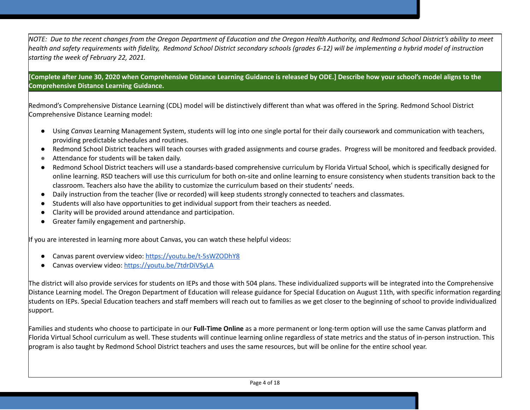NOTE: Due to the recent changes from the Oregon Department of Education and the Oregon Health Authority, and Redmond School District's ability to meet health and safety requirements with fidelity, Redmond School District secondary schools (grades 6-12) will be implementing a hybrid model of instruction *starting the week of February 22, 2021.*

[Complete after June 30, 2020 when Comprehensive Distance Learning Guidance is released by ODE.] Describe how your school's model aligns to the **Comprehensive Distance Learning Guidance.**

Redmond's Comprehensive Distance Learning (CDL) model will be distinctively different than what was offered in the Spring. Redmond School District Comprehensive Distance Learning model:

- Using *Canvas* Learning Management System, students will log into one single portal for their daily coursework and communication with teachers, providing predictable schedules and routines.
- Redmond School District teachers will teach courses with graded assignments and course grades. Progress will be monitored and feedback provided.
- Attendance for students will be taken daily.
- Redmond School District teachers will use a standards-based comprehensive curriculum by Florida Virtual School, which is specifically designed for online learning. RSD teachers will use this curriculum for both on-site and online learning to ensure consistency when students transition back to the classroom. Teachers also have the ability to customize the curriculum based on their students' needs.
- Daily instruction from the teacher (live or recorded) will keep students strongly connected to teachers and classmates.
- Students will also have opportunities to get individual support from their teachers as needed.
- Clarity will be provided around attendance and participation.
- Greater family engagement and partnership.

If you are interested in learning more about Canvas, you can watch these helpful videos:

- Canvas parent overview video: <https://youtu.be/t-5sWZODhY8>
- Canvas overview video: <https://youtu.be/7tdrDiVSyLA>

The district will also provide services for students on IEPs and those with 504 plans. These individualized supports will be integrated into the Comprehensive Distance Learning model. The Oregon Department of Education will release guidance for Special Education on August 11th, with specific information regarding students on IEPs. Special Education teachers and staff members will reach out to families as we get closer to the beginning of school to provide individualized support.

Families and students who choose to participate in our **Full-Time Online** as a more permanent or long-term option will use the same Canvas platform and Florida Virtual School curriculum as well. These students will continue learning online regardless of state metrics and the status of in-person instruction. This program is also taught by Redmond School District teachers and uses the same resources, but will be online for the entire school year.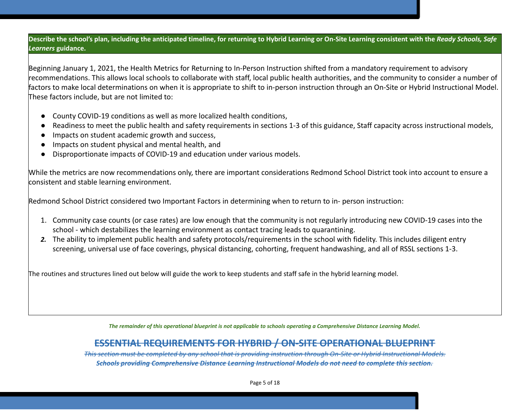Describe the school's plan, including the anticipated timeline, for returning to Hybrid Learning or On-Site Learning consistent with the Ready Schools, Safe *Learners* **guidance.**

Beginning January 1, 2021, the Health Metrics for Returning to In-Person Instruction shifted from a mandatory requirement to advisory recommendations. This allows local schools to collaborate with staff, local public health authorities, and the community to consider a number of factors to make local determinations on when it is appropriate to shift to in-person instruction through an On-Site or Hybrid Instructional Model. These factors include, but are not limited to:

- County COVID-19 conditions as well as more localized health conditions,
- Readiness to meet the public health and safety requirements in sections 1-3 of this guidance, Staff capacity across instructional models,
- Impacts on student academic growth and success,
- Impacts on student physical and mental health, and
- Disproportionate impacts of COVID-19 and education under various models.

While the metrics are now recommendations only, there are important considerations Redmond School District took into account to ensure a consistent and stable learning environment.

Redmond School District considered two Important Factors in determining when to return to in- person instruction:

- 1. Community case counts (or case rates) are low enough that the community is not regularly introducing new COVID-19 cases into the school - which destabilizes the learning environment as contact tracing leads to quarantining.
- *2.* The ability to implement public health and safety protocols/requirements in the school with fidelity. This includes diligent entry screening, universal use of face coverings, physical distancing, cohorting, frequent handwashing, and all of RSSL sections 1-3.

The routines and structures lined out below will guide the work to keep students and staff safe in the hybrid learning model.

*The remainder of this operational blueprint is not applicable to schools operating a Comprehensive Distance Learning Model.* 

# **ESSENTIAL REQUIREMENTS FOR HYBRID / ON-SITE OPERATIONAL BLUEPRINT**

This section must be completed by any school that is providing instruction through On-Site or Hybrid Instructional Models. *Schools providing Comprehensive Distance Learning Instructional Models do not need to complete this section.*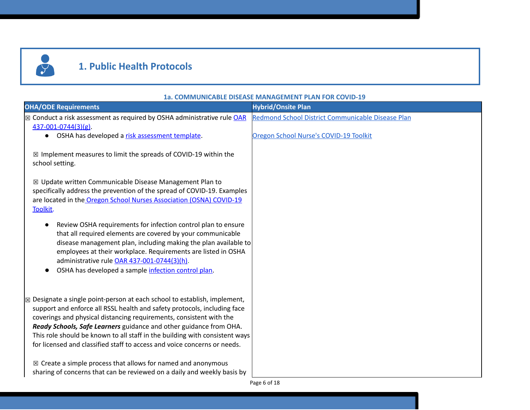

# **1. Public Health Protocols**

# **OHA/ODE Requirements Hybrid/Onsite Plan** ⊠ Conduct a risk ass[e](https://secure.sos.state.or.us/oard/viewSingleRule.action?ruleVrsnRsn=274961)ssment as required by OSHA administrative rule [OAR](https://secure.sos.state.or.us/oard/viewSingleRule.action?ruleVrsnRsn=274961) [437-001-0744\(3\)\(g\)](https://secure.sos.state.or.us/oard/viewSingleRule.action?ruleVrsnRsn=274961). ● OSHA has developed a [r](https://osha.oregon.gov/OSHAPubs/pubform/exposure-risk-assessment-form.docx)isk [assessment](https://osha.oregon.gov/OSHAPubs/pubform/exposure-risk-assessment-form.docx) template. ☒ Implement measures to limit the spreads of COVID-19 within the school setting. ☒ Update written Communicable Disease Management Plan to specifically address the prevention of the spread of COVID-19. Examples are located in the Oregon School Nurses [Association](https://www.oregonschoolnurses.org/resources/covid-19-toolkit) (OSNA) COVID-19 [Toolkit.](https://www.oregonschoolnurses.org/resources/covid-19-toolkit) ● Review OSHA requirements for infection control plan to ensure that all required elements are covered by your communicable disease management plan, including making the plan available to employees at their workplace. Requirements are listed in OSHA administrative rule OAR [437-001-0744\(3\)\(h\)](https://secure.sos.state.or.us/oard/viewSingleRule.action?ruleVrsnRsn=274961). ● OSHA has developed a sample [infection](https://osha.oregon.gov/OSHAPubs/pubform/infection-control-plan.docx) control plan. Redmond School District [Communicable](https://docs.google.com/document/d/1JwcMR6UjYzSMQmomD-JU4wZWsl5y7mCXP9dr-uvRUBI/edit?usp=sharing) Disease Plan Oregon School Nurse's [COVID-19](https://www.oregonschoolnurses.org/resources/covid-19-toolkit) Toolkit  $\boxtimes$  Designate a single point-person at each school to establish, implement, support and enforce all RSSL health and safety protocols, including face coverings and physical distancing requirements, consistent with the *Ready Schools, Safe Learners* guidance and other guidance from OHA. This role should be known to all staff in the building with consistent ways for licensed and classified staff to access and voice concerns or needs.  $\boxtimes$  Create a simple process that allows for named and anonymous sharing of concerns that can be reviewed on a daily and weekly basis by

**1a. COMMUNICABLE DISEASE MANAGEMENT PLAN FOR COVID-19**

Page 6 of 18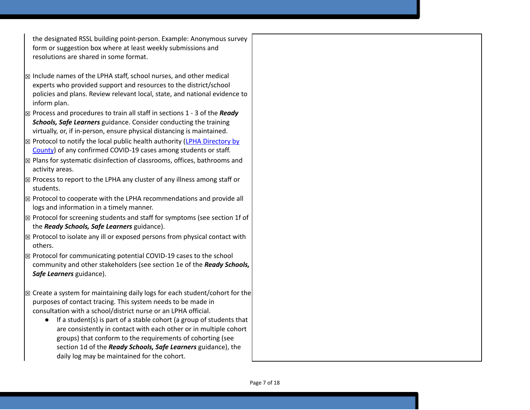the designated RSSL building point-person. Example: Anonymous survey form or suggestion box where at least weekly submissions and resolutions are shared in some format.

- $\boxtimes$  Include names of the LPHA staff, school nurses, and other medical experts who provided support and resources to the district/school policies and plans. Review relevant local, state, and national evidence to inform plan.
- ☒ Process and procedures to train all staff in sections 1 3 of the *Ready Schools, Safe Learners* guidance. Consider conducting the training virtually, or, if in-person, ensure physical distancing is maintained.
- $\boxtimes$  Protocol to notify the local public health authority (LPHA [Directory](https://www.oregon.gov/oha/ph/providerpartnerresources/localhealthdepartmentresources/pages/lhd.aspx) by [County](https://www.oregon.gov/oha/ph/providerpartnerresources/localhealthdepartmentresources/pages/lhd.aspx)) of any confirmed COVID-19 cases among students or staff.
- $\mathbb{Z}$  Plans for systematic disinfection of classrooms, offices, bathrooms and activity areas.
- $\mathbb{Z}$  Process to report to the LPHA any cluster of any illness among staff or students.
- $\mathbb B$  Protocol to cooperate with the LPHA recommendations and provide all logs and information in a timely manner.
- $\mathbb{Z}$  Protocol for screening students and staff for symptoms (see section 1f of the *Ready Schools, Safe Learners* guidance).
- $\mathbb{Z}$  Protocol to isolate any ill or exposed persons from physical contact with others.
- $\mathbb B$  Protocol for communicating potential COVID-19 cases to the school community and other stakeholders (see section 1e of the *Ready Schools, Safe Learners* guidance).
- $\boxtimes$  Create a system for maintaining daily logs for each student/cohort for the purposes of contact tracing. This system needs to be made in consultation with a school/district nurse or an LPHA official.
	- If a student(s) is part of a stable cohort (a group of students that are consistently in contact with each other or in multiple cohort groups) that conform to the requirements of cohorting (see section 1d of the *Ready Schools, Safe Learners* guidance), the daily log may be maintained for the cohort.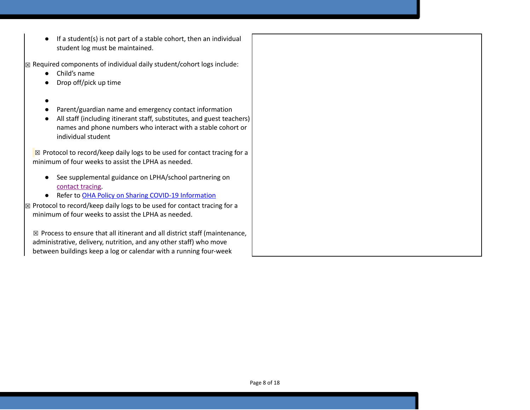$\bullet$  If a student(s) is not part of a stable cohort, then an individual student log must be maintained.

 $\sqrt{\mathbb{Z}}$  Required components of individual daily student/cohort logs include:

- Child's name
- Drop off/pick up time
- $\bullet$
- Parent/guardian name and emergency contact information
- All staff (including itinerant staff, substitutes, and guest teachers) names and phone numbers who interact with a stable cohort or individual student

 $\boxtimes$  Protocol to record/keep daily logs to be used for contact tracing for a minimum of four weeks to assist the LPHA as needed.

- See supplemental guidance on LPHA/school partnering on [contact](https://www.oregon.gov/ode/students-and-family/healthsafety/Documents/LPHA%20Capacity%20Needs%20and%20Contact%20Tracing.pdf) tracing.
- Refer to [O](https://www.oregon.gov/ode/students-and-family/healthsafety/Documents/Sharing%20COVID%20Information%20with%20Schools.pdf)HA Policy on Sharing COVID-19 [Information](https://www.oregon.gov/ode/students-and-family/healthsafety/Documents/Sharing%20COVID%20Information%20with%20Schools.pdf)

 $\boxtimes$  Protocol to record/keep daily logs to be used for contact tracing for a minimum of four weeks to assist the LPHA as needed.

 $\boxtimes$  Process to ensure that all itinerant and all district staff (maintenance, administrative, delivery, nutrition, and any other staff) who move between buildings keep a log or calendar with a running four-week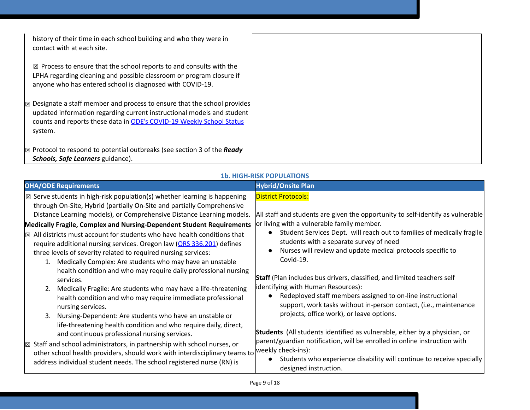| history of their time in each school building and who they were in<br>contact with at each site.                                                                                                                                                 |  |
|--------------------------------------------------------------------------------------------------------------------------------------------------------------------------------------------------------------------------------------------------|--|
| $\boxtimes$ Process to ensure that the school reports to and consults with the<br>LPHA regarding cleaning and possible classroom or program closure if<br>anyone who has entered school is diagnosed with COVID-19.                              |  |
| $\boxtimes$ Designate a staff member and process to ensure that the school provides<br>updated information regarding current instructional models and student<br>counts and reports these data in ODE's COVID-19 Weekly School Status<br>system. |  |
| $\mathbb{Z}$ Protocol to respond to potential outbreaks (see section 3 of the <b>Ready</b><br>Schools, Safe Learners guidance).                                                                                                                  |  |

#### **1b. HIGH-RISK POPULATIONS**

| <b>OHA/ODE Requirements</b>                                                                                                                                                                                                                                                                                                                                                                                                                                                                                                                                                                                                                                                                                                                                                                                                                                                                                                                                                                           | <b>Hybrid/Onsite Plan</b>                                                                                                                                                                                                                                                                                                                                                                                                                                                                                                                                                                                                                                     |
|-------------------------------------------------------------------------------------------------------------------------------------------------------------------------------------------------------------------------------------------------------------------------------------------------------------------------------------------------------------------------------------------------------------------------------------------------------------------------------------------------------------------------------------------------------------------------------------------------------------------------------------------------------------------------------------------------------------------------------------------------------------------------------------------------------------------------------------------------------------------------------------------------------------------------------------------------------------------------------------------------------|---------------------------------------------------------------------------------------------------------------------------------------------------------------------------------------------------------------------------------------------------------------------------------------------------------------------------------------------------------------------------------------------------------------------------------------------------------------------------------------------------------------------------------------------------------------------------------------------------------------------------------------------------------------|
| $\boxtimes$ Serve students in high-risk population(s) whether learning is happening<br>through On-Site, Hybrid (partially On-Site and partially Comprehensive<br>Distance Learning models), or Comprehensive Distance Learning models.<br>Medically Fragile, Complex and Nursing-Dependent Student Requirements<br>$\boxtimes$ All districts must account for students who have health conditions that<br>require additional nursing services. Oregon law (ORS 336.201) defines<br>three levels of severity related to required nursing services:<br>Medically Complex: Are students who may have an unstable<br>1.<br>health condition and who may require daily professional nursing<br>services.<br>Medically Fragile: Are students who may have a life-threatening<br>2.<br>health condition and who may require immediate professional<br>nursing services.<br>Nursing-Dependent: Are students who have an unstable or<br>3.<br>life-threatening health condition and who require daily, direct, | <b>District Protocols:</b><br>All staff and students are given the opportunity to self-identify as vulnerable<br>or living with a vulnerable family member.<br>Student Services Dept. will reach out to families of medically fragile<br>students with a separate survey of need<br>Nurses will review and update medical protocols specific to<br>Covid-19.<br>Staff (Plan includes bus drivers, classified, and limited teachers self<br>identifying with Human Resources):<br>Redeployed staff members assigned to on-line instructional<br>support, work tasks without in-person contact, (i.e., maintenance<br>projects, office work), or leave options. |
| and continuous professional nursing services.<br>$\boxtimes$ Staff and school administrators, in partnership with school nurses, or<br>other school health providers, should work with interdisciplinary teams to<br>address individual student needs. The school registered nurse (RN) is                                                                                                                                                                                                                                                                                                                                                                                                                                                                                                                                                                                                                                                                                                            | <b>Students</b> (All students identified as vulnerable, either by a physician, or<br>parent/guardian notification, will be enrolled in online instruction with<br>weekly check-ins):<br>Students who experience disability will continue to receive specially<br>designed instruction.                                                                                                                                                                                                                                                                                                                                                                        |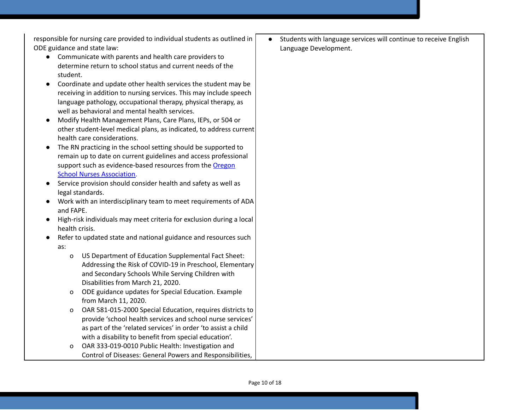responsible for nursing care provided to individual students as outlined in ODE guidance and state law:

- Communicate with parents and health care providers to determine return to school status and current needs of the student.
- Coordinate and update other health services the student may be receiving in addition to nursing services. This may include speech language pathology, occupational therapy, physical therapy, as well as behavioral and mental health services.
- Modify Health Management Plans, Care Plans, IEPs, or 504 or other student-level medical plans, as indicated, to address current health care considerations.
- The RN practicing in the school setting should be supported to remain up to date on current guidelines and access professional support such as evidence-based resources from the [Oregon](https://www.oregonschoolnurses.org/resources/covid-19-toolkit) School Nurses [Association](https://www.oregonschoolnurses.org/resources/covid-19-toolkit).
- Service provision should consider health and safety as well as legal standards.
- Work with an interdisciplinary team to meet requirements of ADA and FAPE.
- High-risk individuals may meet criteria for exclusion during a local health crisis.
- Refer to updated state and national guidance and resources such as:
	- o US Department of Education Supplemental Fact Sheet: Addressing the Risk of COVID-19 in Preschool, Elementary and Secondary Schools While Serving Children with Disabilities from March 21, 2020.
	- o ODE guidance updates for Special Education. Example from March 11, 2020.
	- o OAR 581-015-2000 Special Education, requires districts to provide 'school health services and school nurse services' as part of the 'related services' in order 'to assist a child with a disability to benefit from special education'.
	- o OAR 333-019-0010 Public Health: Investigation and Control of Diseases: General Powers and Responsibilities,

Students with language services will continue to receive English Language Development.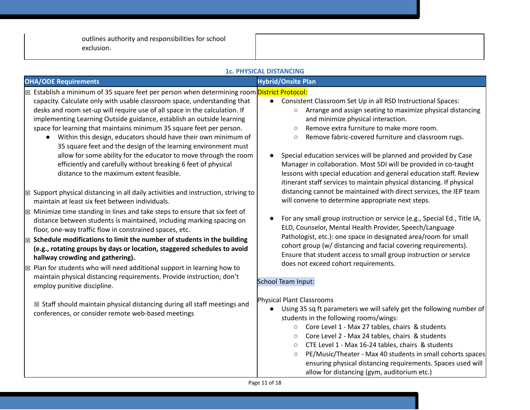outlines authority and responsibilities for school exclusion.

|                                                                                                                                                                                                                                                                                                                                                                                                                                                                                                                                                                                                                                                                                                                                                                                                                                                                                                                                                                                                                                                                                                                                                                                                                                                                                                                                                                                                                                                                                                                             | <b>1c. PHYSICAL DISTANCING</b>                                                                                                                                                                                                                                                                                                                                                                                                                                                                                                                                                                                                                                                                                                                                                                                                                                                                                                                                                                                                                                                                                                                    |
|-----------------------------------------------------------------------------------------------------------------------------------------------------------------------------------------------------------------------------------------------------------------------------------------------------------------------------------------------------------------------------------------------------------------------------------------------------------------------------------------------------------------------------------------------------------------------------------------------------------------------------------------------------------------------------------------------------------------------------------------------------------------------------------------------------------------------------------------------------------------------------------------------------------------------------------------------------------------------------------------------------------------------------------------------------------------------------------------------------------------------------------------------------------------------------------------------------------------------------------------------------------------------------------------------------------------------------------------------------------------------------------------------------------------------------------------------------------------------------------------------------------------------------|---------------------------------------------------------------------------------------------------------------------------------------------------------------------------------------------------------------------------------------------------------------------------------------------------------------------------------------------------------------------------------------------------------------------------------------------------------------------------------------------------------------------------------------------------------------------------------------------------------------------------------------------------------------------------------------------------------------------------------------------------------------------------------------------------------------------------------------------------------------------------------------------------------------------------------------------------------------------------------------------------------------------------------------------------------------------------------------------------------------------------------------------------|
| <b>OHA/ODE Requirements</b>                                                                                                                                                                                                                                                                                                                                                                                                                                                                                                                                                                                                                                                                                                                                                                                                                                                                                                                                                                                                                                                                                                                                                                                                                                                                                                                                                                                                                                                                                                 | <b>Hybrid/Onsite Plan</b>                                                                                                                                                                                                                                                                                                                                                                                                                                                                                                                                                                                                                                                                                                                                                                                                                                                                                                                                                                                                                                                                                                                         |
| ⊠ Establish a minimum of 35 square feet per person when determining room District Protocol:<br>capacity. Calculate only with usable classroom space, understanding that<br>desks and room set-up will require use of all space in the calculation. If<br>implementing Learning Outside guidance, establish an outside learning<br>space for learning that maintains minimum 35 square feet per person.<br>Within this design, educators should have their own minimum of<br>$\bullet$<br>35 square feet and the design of the learning environment must<br>allow for some ability for the educator to move through the room<br>efficiently and carefully without breaking 6 feet of physical<br>distance to the maximum extent feasible.<br>$\boxtimes$ Support physical distancing in all daily activities and instruction, striving to<br>maintain at least six feet between individuals.<br>$\boxtimes$ Minimize time standing in lines and take steps to ensure that six feet of<br>distance between students is maintained, including marking spacing on<br>floor, one-way traffic flow in constrained spaces, etc.<br>$\boxtimes$ Schedule modifications to limit the number of students in the building<br>(e.g., rotating groups by days or location, staggered schedules to avoid<br>hallway crowding and gathering).<br>$\boxtimes$ Plan for students who will need additional support in learning how to<br>maintain physical distancing requirements. Provide instruction; don't<br>employ punitive discipline. | Consistent Classroom Set Up in all RSD Instructional Spaces:<br>$\bullet$<br>Arrange and assign seating to maximize physical distancing<br>$\circ$<br>and minimize physical interaction.<br>Remove extra furniture to make more room.<br>$\circ$<br>Remove fabric-covered furniture and classroom rugs.<br>$\circ$<br>Special education services will be planned and provided by Case<br>Manager in collaboration. Most SDI will be provided in co-taught<br>lessons with special education and general education staff. Review<br>itinerant staff services to maintain physical distancing. If physical<br>distancing cannot be maintained with direct services, the IEP team<br>will convene to determine appropriate next steps.<br>For any small group instruction or service (e.g., Special Ed., Title IA,<br>ELD, Counselor, Mental Health Provider, Speech/Language<br>Pathologist, etc.): one space in designated area/room for small<br>cohort group (w/ distancing and facial covering requirements).<br>Ensure that student access to small group instruction or service<br>does not exceed cohort requirements.<br>School Team Input: |
| $\boxtimes$ Staff should maintain physical distancing during all staff meetings and<br>conferences, or consider remote web-based meetings                                                                                                                                                                                                                                                                                                                                                                                                                                                                                                                                                                                                                                                                                                                                                                                                                                                                                                                                                                                                                                                                                                                                                                                                                                                                                                                                                                                   | <b>Physical Plant Classrooms</b><br>Using 35 sq ft parameters we will safely get the following number of<br>$\bullet$<br>students in the following rooms/wings:<br>Core Level 1 - Max 27 tables, chairs & students<br>$\circ$<br>Core Level 2 - Max 24 tables, chairs & students<br>$\circ$<br>CTE Level 1 - Max 16-24 tables, chairs & students<br>$\circ$<br>PE/Music/Theater - Max 40 students in small cohorts spaces<br>$\circ$<br>ensuring physical distancing requirements. Spaces used will<br>allow for distancing (gym, auditorium etc.)                                                                                                                                                                                                                                                                                                                                                                                                                                                                                                                                                                                                |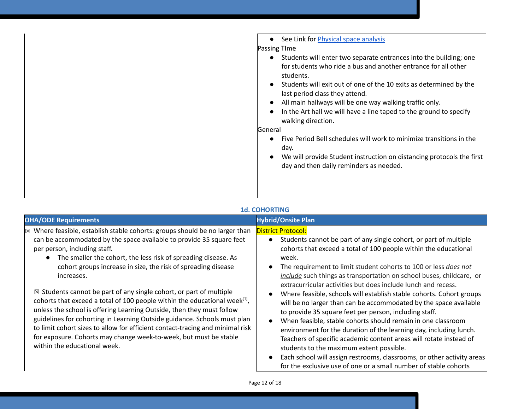| See Link for Physical space analysis                                                                                                                                                                                                                                                                                                                                                                            |
|-----------------------------------------------------------------------------------------------------------------------------------------------------------------------------------------------------------------------------------------------------------------------------------------------------------------------------------------------------------------------------------------------------------------|
| <b>Passing Time</b>                                                                                                                                                                                                                                                                                                                                                                                             |
| Students will enter two separate entrances into the building; one<br>for students who ride a bus and another entrance for all other<br>students.<br>Students will exit out of one of the 10 exits as determined by the<br>last period class they attend.<br>All main hallways will be one way walking traffic only.<br>In the Art hall we will have a line taped to the ground to specify<br>walking direction. |
| General                                                                                                                                                                                                                                                                                                                                                                                                         |
| Five Period Bell schedules will work to minimize transitions in the<br>day.                                                                                                                                                                                                                                                                                                                                     |
| We will provide Student instruction on distancing protocols the first<br>day and then daily reminders as needed.                                                                                                                                                                                                                                                                                                |
|                                                                                                                                                                                                                                                                                                                                                                                                                 |

## **1d. COHORTING**

| <b>OHA/ODE Requirements</b>                                                                                                                                                                                                                                                                                                                                                                                                                                                                                                                                                                                                                                                                                                                                                                                                                                                 | <b>Hybrid/Onsite Plan</b>                                                                                                                                                                                                                                                                                                                                                                                                                                                                                                                                                                                                                                                                                                                                                                                                                                                                                                                                                                               |
|-----------------------------------------------------------------------------------------------------------------------------------------------------------------------------------------------------------------------------------------------------------------------------------------------------------------------------------------------------------------------------------------------------------------------------------------------------------------------------------------------------------------------------------------------------------------------------------------------------------------------------------------------------------------------------------------------------------------------------------------------------------------------------------------------------------------------------------------------------------------------------|---------------------------------------------------------------------------------------------------------------------------------------------------------------------------------------------------------------------------------------------------------------------------------------------------------------------------------------------------------------------------------------------------------------------------------------------------------------------------------------------------------------------------------------------------------------------------------------------------------------------------------------------------------------------------------------------------------------------------------------------------------------------------------------------------------------------------------------------------------------------------------------------------------------------------------------------------------------------------------------------------------|
| $\boxtimes$ Where feasible, establish stable cohorts: groups should be no larger than<br>can be accommodated by the space available to provide 35 square feet<br>per person, including staff.<br>The smaller the cohort, the less risk of spreading disease. As<br>$\bullet$<br>cohort groups increase in size, the risk of spreading disease<br>increases.<br>$\boxtimes$ Students cannot be part of any single cohort, or part of multiple<br>cohorts that exceed a total of 100 people within the educational week $^{[1]}$ ,<br>unless the school is offering Learning Outside, then they must follow<br>guidelines for cohorting in Learning Outside guidance. Schools must plan<br>to limit cohort sizes to allow for efficient contact-tracing and minimal risk<br>for exposure. Cohorts may change week-to-week, but must be stable<br>within the educational week. | <b>District Protocol:</b><br>• Students cannot be part of any single cohort, or part of multiple<br>cohorts that exceed a total of 100 people within the educational<br>week.<br>The requirement to limit student cohorts to 100 or less does not<br>include such things as transportation on school buses, childcare, or<br>extracurricular activities but does include lunch and recess.<br>Where feasible, schools will establish stable cohorts. Cohort groups<br>will be no larger than can be accommodated by the space available<br>to provide 35 square feet per person, including staff.<br>When feasible, stable cohorts should remain in one classroom<br>environment for the duration of the learning day, including lunch.<br>Teachers of specific academic content areas will rotate instead of<br>students to the maximum extent possible.<br>Each school will assign restrooms, classrooms, or other activity areas<br>for the exclusive use of one or a small number of stable cohorts |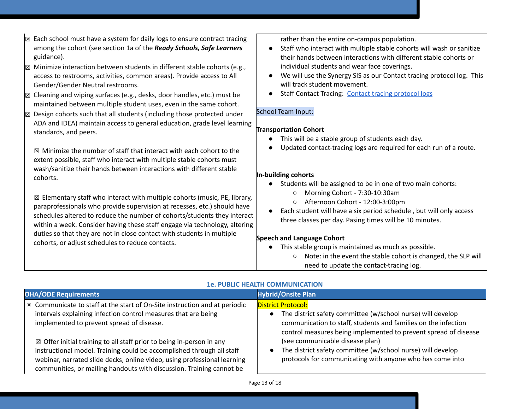| $\boxtimes$ Each school must have a system for daily logs to ensure contract tracing<br>among the cohort (see section 1a of the Ready Schools, Safe Learners<br>guidance). | rather than the entire on-campus population.<br>Staff who interact with multiple stable cohorts will wash or sanitize<br>their hands between interactions with different stable cohorts or |
|----------------------------------------------------------------------------------------------------------------------------------------------------------------------------|--------------------------------------------------------------------------------------------------------------------------------------------------------------------------------------------|
| $\boxtimes$ Minimize interaction between students in different stable cohorts (e.g.,                                                                                       | individual students and wear face coverings.                                                                                                                                               |
| access to restrooms, activities, common areas). Provide access to All<br>Gender/Gender Neutral restrooms.                                                                  | We will use the Synergy SIS as our Contact tracing protocol log. This<br>will track student movement.                                                                                      |
| $\boxtimes$ Cleaning and wiping surfaces (e.g., desks, door handles, etc.) must be<br>maintained between multiple student uses, even in the same cohort.                   | <b>Staff Contact Tracing: Contact tracing protocol logs</b>                                                                                                                                |
| Design cohorts such that all students (including those protected under<br>冈                                                                                                | <b>School Team Input:</b>                                                                                                                                                                  |
| ADA and IDEA) maintain access to general education, grade level learning<br>standards, and peers.                                                                          | <b>Transportation Cohort</b>                                                                                                                                                               |
|                                                                                                                                                                            | This will be a stable group of students each day.                                                                                                                                          |
| $\boxtimes$ Minimize the number of staff that interact with each cohort to the<br>extent possible, staff who interact with multiple stable cohorts must                    | Updated contact-tracing logs are required for each run of a route.                                                                                                                         |
| wash/sanitize their hands between interactions with different stable                                                                                                       | In-building cohorts                                                                                                                                                                        |
| cohorts.                                                                                                                                                                   | Students will be assigned to be in one of two main cohorts:<br>$\bullet$                                                                                                                   |
| $\boxtimes$ Elementary staff who interact with multiple cohorts (music, PE, library,                                                                                       | Morning Cohort - 7:30-10:30am<br>$\circ$                                                                                                                                                   |
| paraprofessionals who provide supervision at recesses, etc.) should have                                                                                                   | Afternoon Cohort - 12:00-3:00pm<br>$\circ$<br>Each student will have a six period schedule, but will only access                                                                           |
| schedules altered to reduce the number of cohorts/students they interact                                                                                                   | three classes per day. Pasing times will be 10 minutes.                                                                                                                                    |
| within a week. Consider having these staff engage via technology, altering                                                                                                 |                                                                                                                                                                                            |
| duties so that they are not in close contact with students in multiple                                                                                                     | <b>Speech and Language Cohort</b>                                                                                                                                                          |
| cohorts, or adjust schedules to reduce contacts.                                                                                                                           | This stable group is maintained as much as possible.                                                                                                                                       |
|                                                                                                                                                                            | Note: in the event the stable cohort is changed, the SLP will<br>$\circ$                                                                                                                   |

#### **1e. PUBLIC HEALTH COMMUNICATION**

need to update the contact-tracing log.

| <b>OHA/ODE Requirements</b>                                                                  | <b>Hybrid/Onsite Plan</b>                                       |
|----------------------------------------------------------------------------------------------|-----------------------------------------------------------------|
| $\vert$ $\boxtimes$ Communicate to staff at the start of On-Site instruction and at periodic | <b>District Protocol:</b>                                       |
| intervals explaining infection control measures that are being                               | The district safety committee (w/school nurse) will develop     |
| implemented to prevent spread of disease.                                                    | communication to staff, students and families on the infection  |
| $\boxtimes$ Offer initial training to all staff prior to being in-person in any              | control measures being implemented to prevent spread of disease |
| instructional model. Training could be accomplished through all staff                        | (see communicable disease plan)                                 |
| webinar, narrated slide decks, online video, using professional learning                     | The district safety committee (w/school nurse) will develop     |
| communities, or mailing handouts with discussion. Training cannot be                         | protocols for communicating with anyone who has come into       |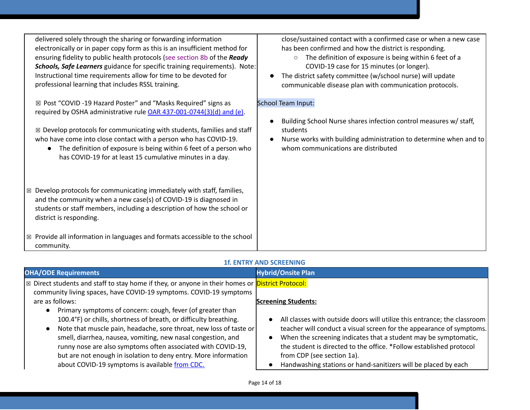delivered solely through the sharing or forwarding information electronically or in paper copy form as this is an insufficient method for ensuring fidelity to public health protocols (see section 8b of the *Ready Schools, Safe Learners* guidance for specific training requirements). Note: Instructional time requirements allow for time to be devoted for professional learning that includes RSSL training.

☒ Post "COVID -19 Hazard Poster" and "Masks Required" signs as required by OSHA administrative rul[e](https://secure.sos.state.or.us/oard/viewSingleRule.action?ruleVrsnRsn=274961) OAR [437-001-0744\(3\)\(d\)](https://secure.sos.state.or.us/oard/viewSingleRule.action?ruleVrsnRsn=274961) and (e).

 $\boxtimes$  Develop protocols for communicating with students, families and staff who have come into close contact with a person who has COVID-19.

● The definition of exposure is being within 6 feet of a person who has COVID-19 for at least 15 cumulative minutes in a day.

 $\boxtimes$  Develop protocols for communicating immediately with staff, families, and the community when a new case(s) of COVID-19 is diagnosed in students or staff members, including a description of how the school or district is responding.

☒ Provide all information in languages and formats accessible to the school community.

close/sustained contact with a confirmed case or when a new case has been confirmed and how the district is responding.

- The definition of exposure is being within 6 feet of a COVID-19 case for 15 minutes (or longer).
- The district safety committee (w/school nurse) will update communicable disease plan with communication protocols.

#### School Team Input:

- Building School Nurse shares infection control measures w/ staff, students
- Nurse works with building administration to determine when and to whom communications are distributed

#### **1f. ENTRY AND SCREENING**

| <b>OHA/ODE Requirements</b>                                                                                                                                                                                                                                                                                                                                                                                                                                                                                                                                                                                  | <b>Hybrid/Onsite Plan</b>                                                                                                                                                                                                                                                                                                                              |
|--------------------------------------------------------------------------------------------------------------------------------------------------------------------------------------------------------------------------------------------------------------------------------------------------------------------------------------------------------------------------------------------------------------------------------------------------------------------------------------------------------------------------------------------------------------------------------------------------------------|--------------------------------------------------------------------------------------------------------------------------------------------------------------------------------------------------------------------------------------------------------------------------------------------------------------------------------------------------------|
| ⊠ Direct students and staff to stay home if they, or anyone in their homes or <b>District Protocol:</b><br>community living spaces, have COVID-19 symptoms. COVID-19 symptoms<br>are as follows:<br>Primary symptoms of concern: cough, fever (of greater than<br>100.4°F) or chills, shortness of breath, or difficulty breathing.<br>Note that muscle pain, headache, sore throat, new loss of taste or<br>smell, diarrhea, nausea, vomiting, new nasal congestion, and<br>runny nose are also symptoms often associated with COVID-19,<br>but are not enough in isolation to deny entry. More information | <b>Screening Students:</b><br>All classes with outside doors will utilize this entrance; the classroom<br>teacher will conduct a visual screen for the appearance of symptoms.<br>When the screening indicates that a student may be symptomatic,<br>the student is directed to the office. *Follow established protocol<br>from CDP (see section 1a). |
| about COVID-19 symptoms is available from CDC.                                                                                                                                                                                                                                                                                                                                                                                                                                                                                                                                                               | Handwashing stations or hand-sanitizers will be placed by each                                                                                                                                                                                                                                                                                         |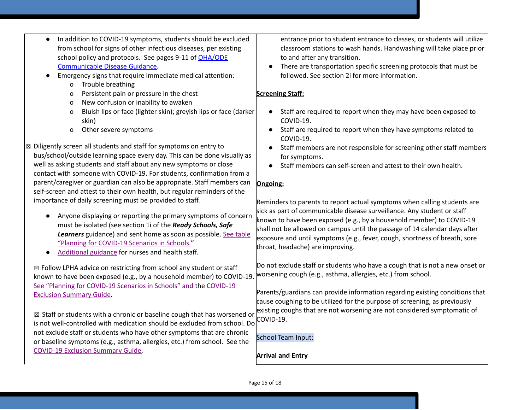- In addition to COVID-19 symptoms, students should be excluded from school for signs of other infectious diseases, per existing school policy and protocols. See pages 9-11 of [OHA/ODE](https://www.oregon.gov/ode/students-and-family/healthsafety/Documents/commdisease.pdf) [Communicable](https://www.oregon.gov/ode/students-and-family/healthsafety/Documents/commdisease.pdf) Disease Guidance.
- Emergency signs that require immediate medical attention:
	- o Trouble breathing
	- o Persistent pain or pressure in the chest
	- o New confusion or inability to awaken
	- o Bluish lips or face (lighter skin); greyish lips or face (darker skin)
	- o Other severe symptoms
- ☒ Diligently screen all students and staff for symptoms on entry to bus/school/outside learning space every day. This can be done visually as well as asking students and staff about any new symptoms or close contact with someone with COVID-19. For students, confirmation from a parent/caregiver or guardian can also be appropriate. Staff members can self-screen and attest to their own health, but regular reminders of the importance of daily screening must be provided to staff.
	- Anyone displaying or reporting the primary symptoms of concern must be isolated (see section 1i of the *Ready Schools, Safe Learners* guidance) and sent home as soon as possible. See [table](https://www.oregon.gov/ode/students-and-family/healthsafety/Documents/Planning%20and%20Responding%20to%20COVID-19%20Scenarios%20in%20Schools.pdf) "Planning for [COVID-19](https://www.oregon.gov/ode/students-and-family/healthsafety/Documents/Planning%20and%20Responding%20to%20COVID-19%20Scenarios%20in%20Schools.pdf) Scenarios in Schools."
	- [Additional](https://www.oregon.gov/ode/students-and-family/healthsafety/Documents/Additional%20Considerations%20for%20Staff%20Working%20with%20Students%20with%20Complex%20Needs.pdf) guidance for nurses and health staff.

☒ Follow LPHA advice on restricting from school any student or staff known to have been exposed (e.g., by a household member) to COVID-19[.](https://www.oregon.gov/ode/students-and-family/healthsafety/Documents/Planning%20and%20Responding%20to%20COVID-19%20Scenarios%20in%20Schools.pdf) See "Planning for [COVID-19](https://www.oregon.gov/ode/students-and-family/healthsafety/Documents/Planning%20and%20Responding%20to%20COVID-19%20Scenarios%20in%20Schools.pdf) Scenarios in Schools" and the [COVID-19](https://www.oregon.gov/ode/students-and-family/healthsafety/Documents/COVID-19%20Exclusion%20Summary%20Chart.pdf) Exclusion [Summary](https://www.oregon.gov/ode/students-and-family/healthsafety/Documents/COVID-19%20Exclusion%20Summary%20Chart.pdf) Guide.

☒ Staff or students with a chronic or baseline cough that has worsened or is not well-controlled with medication should be excluded from school. Do not exclude staff or students who have other symptoms that are chronic or baseline symptoms (e.g., asthma, allergies, etc.) from school. See the [COVID-19](https://www.oregon.gov/ode/students-and-family/healthsafety/Documents/COVID-19%20Exclusion%20Summary%20Chart.pdf) Exclusion Summary Guide.

entrance prior to student entrance to classes, or students will utilize classroom stations to wash hands. Handwashing will take place prior to and after any transition.

● There are transportation specific screening protocols that must be followed. See section 2i for more information.

## **Screening Staff:**

- Staff are required to report when they may have been exposed to COVID-19.
- Staff are required to report when they have symptoms related to COVID-19.
- Staff members are not responsible for screening other staff members for symptoms.
- Staff members can self-screen and attest to their own health.

## **Ongoing:**

Reminders to parents to report actual symptoms when calling students are sick as part of communicable disease surveillance. Any student or staff known to have been exposed (e.g., by a household member) to COVID-19 shall not be allowed on campus until the passage of 14 calendar days after exposure and until symptoms (e.g., fever, cough, shortness of breath, sore throat, headache) are improving.

Do not exclude staff or students who have a cough that is not a new onset or worsening cough (e.g., asthma, allergies, etc.) from school.

Parents/guardians can provide information regarding existing conditions that cause coughing to be utilized for the purpose of screening, as previously existing coughs that are not worsening are not considered symptomatic of COVID-19.

## School Team Input:

**Arrival and Entry**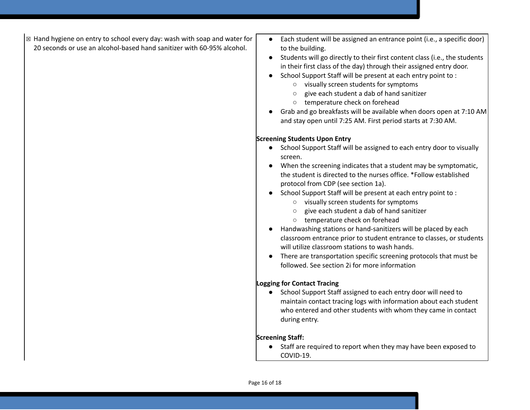- $\boxtimes$  Hand hygiene on entry to school every day: wash with soap and water for 20 seconds or use an alcohol-based hand sanitizer with 60-95% alcohol.
- Each student will be assigned an entrance point (i.e., a specific door) to the building.
- Students will go directly to their first content class (i.e., the students in their first class of the day) through their assigned entry door.
- School Support Staff will be present at each entry point to :
	- visually screen students for symptoms
	- give each student a dab of hand sanitizer
	- temperature check on forehead
- Grab and go breakfasts will be available when doors open at 7:10 AM and stay open until 7:25 AM. First period starts at 7:30 AM.

#### **Screening Students Upon Entry**

- School Support Staff will be assigned to each entry door to visually screen.
- When the screening indicates that a student may be symptomatic, the student is directed to the nurses office. \*Follow established protocol from CDP (see section 1a).
- School Support Staff will be present at each entry point to :
	- visually screen students for symptoms
	- give each student a dab of hand sanitizer
	- temperature check on forehead
- Handwashing stations or hand-sanitizers will be placed by each classroom entrance prior to student entrance to classes, or students will utilize classroom stations to wash hands.
- There are transportation specific screening protocols that must be followed. See section 2i for more information

#### **Logging for Contact Tracing**

● School Support Staff assigned to each entry door will need to maintain contact tracing logs with information about each student who entered and other students with whom they came in contact during entry.

#### **Screening Staff:**

● Staff are required to report when they may have been exposed to COVID-19.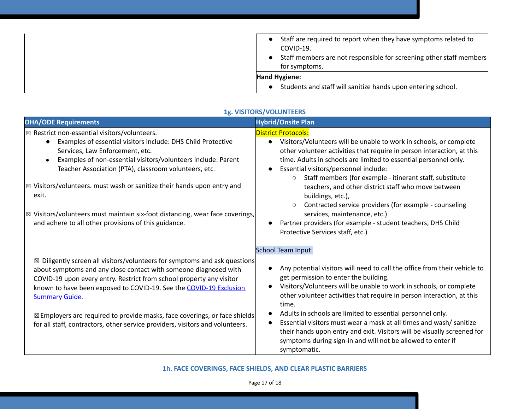| Staff are required to report when they have symptoms related to<br>COVID-19.<br>Staff members are not responsible for screening other staff members<br>for symptoms. |
|----------------------------------------------------------------------------------------------------------------------------------------------------------------------|
| Hand Hygiene:                                                                                                                                                        |
| Students and staff will sanitize hands upon entering school.<br>$\bullet$                                                                                            |

| <b>OHA/ODE Requirements</b>                                                                                                                                                                                                                                                                                                                                                                                                                                                                                                 | <b>Hybrid/Onsite Plan</b>                                                                                                                                                                                                                                                                                                                                                                                                                                                                                                                                                                                                                 |
|-----------------------------------------------------------------------------------------------------------------------------------------------------------------------------------------------------------------------------------------------------------------------------------------------------------------------------------------------------------------------------------------------------------------------------------------------------------------------------------------------------------------------------|-------------------------------------------------------------------------------------------------------------------------------------------------------------------------------------------------------------------------------------------------------------------------------------------------------------------------------------------------------------------------------------------------------------------------------------------------------------------------------------------------------------------------------------------------------------------------------------------------------------------------------------------|
| $\boxtimes$ Restrict non-essential visitors/volunteers.<br>Examples of essential visitors include: DHS Child Protective<br>Services, Law Enforcement, etc.<br>Examples of non-essential visitors/volunteers include: Parent<br>Teacher Association (PTA), classroom volunteers, etc.<br>$\boxtimes$ Visitors/volunteers. must wash or sanitize their hands upon entry and<br>exit.<br>⊠ Visitors/volunteers must maintain six-foot distancing, wear face coverings,<br>and adhere to all other provisions of this guidance. | <b>District Protocols:</b><br>Visitors/Volunteers will be unable to work in schools, or complete<br>$\bullet$<br>other volunteer activities that require in person interaction, at this<br>time. Adults in schools are limited to essential personnel only.<br>Essential visitors/personnel include:<br>$\bullet$<br>Staff members (for example - itinerant staff, substitute<br>$\circ$<br>teachers, and other district staff who move between<br>buildings, etc.),<br>Contracted service providers (for example - counseling<br>$\circ$<br>services, maintenance, etc.)<br>Partner providers (for example - student teachers, DHS Child |
| $\boxtimes$ Diligently screen all visitors/volunteers for symptoms and ask questions<br>about symptoms and any close contact with someone diagnosed with<br>COVID-19 upon every entry. Restrict from school property any visitor<br>known to have been exposed to COVID-19. See the COVID-19 Exclusion<br><b>Summary Guide.</b><br>⊠ Employers are required to provide masks, face coverings, or face shields<br>for all staff, contractors, other service providers, visitors and volunteers.                              | Protective Services staff, etc.)<br>School Team Input:<br>Any potential visitors will need to call the office from their vehicle to<br>get permission to enter the building.<br>Visitors/Volunteers will be unable to work in schools, or complete<br>$\bullet$<br>other volunteer activities that require in person interaction, at this<br>time.<br>Adults in schools are limited to essential personnel only.<br>Essential visitors must wear a mask at all times and wash/ sanitize<br>their hands upon entry and exit. Visitors will be visually screened for<br>symptoms during sign-in and will not be allowed to enter if         |

## **1g. VISITORS/VOLUNTEERS**

**1h. FACE COVERINGS, FACE SHIELDS, AND CLEAR PLASTIC BARRIERS**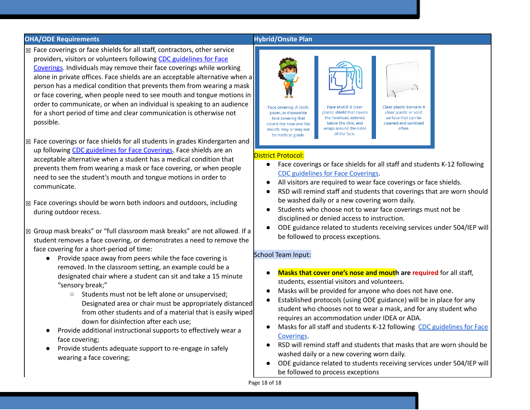#### **OHA/ODE Requirements Hybrid/Onsite Plan**

- ☒ Face coverings or face shields for all staff, contractors, other service providers, visitors or volunteers following [C](https://www.cdc.gov/coronavirus/2019-ncov/prevent-getting-sick/diy-cloth-face-coverings.html)DC [guidelines](https://www.cdc.gov/coronavirus/2019-ncov/prevent-getting-sick/diy-cloth-face-coverings.html) for Face [Coverings.](https://www.cdc.gov/coronavirus/2019-ncov/prevent-getting-sick/diy-cloth-face-coverings.html) Individuals may remove their face coverings while working alone in private offices. Face shields are an acceptable alternative when a person has a medical condition that prevents them from wearing a mask or face covering, when people need to see mouth and tongue motions in order to communicate, or when an individual is speaking to an audience for a short period of time and clear communication is otherwise not possible.
- $\boxtimes$  Face coverings or face shields for all students in grades Kindergarten and up followin[g](https://www.cdc.gov/coronavirus/2019-ncov/prevent-getting-sick/diy-cloth-face-coverings.html) CDC [guidelines](https://www.cdc.gov/coronavirus/2019-ncov/prevent-getting-sick/diy-cloth-face-coverings.html) for Face Coverings. Face shields are an acceptable alternative when a student has a medical condition that prevents them from wearing a mask or face covering, or when people need to see the student's mouth and tongue motions in order to communicate.
- ☒ Face coverings should be worn both indoors and outdoors, including during outdoor recess.
- ☒ Group mask breaks" or "full classroom mask breaks" are not allowed. If a student removes a face covering, or demonstrates a need to remove the face covering for a short-period of time:
	- Provide space away from peers while the face covering is removed. In the classroom setting, an example could be a designated chair where a student can sit and take a 15 minute "sensory break;"
		- Students must not be left alone or unsupervised; Designated area or chair must be appropriately distanced from other students and of a material that is easily wiped down for disinfection after each use;
	- Provide additional instructional supports to effectively wear a face covering;
	- Provide students adequate support to re-engage in safely wearing a face covering;



#### District Protocol:

- Face coverings or face shields for all staff and students K-12 following CDC [guidelines](https://www.cdc.gov/coronavirus/2019-ncov/prevent-getting-sick/diy-cloth-face-coverings.html) for Face Coverings.
- All visitors are required to wear face coverings or face shields.
- RSD will remind staff and students that coverings that are worn should be washed daily or a new covering worn daily.
- Students who choose not to wear face coverings must not be disciplined or denied access to instruction.
- ODE guidance related to students receiving services under 504/IEP will be followed to process exceptions.

#### School Team Input:

- **Masks that cover one's nose and mouth are required** for all staff, students, essential visitors and volunteers.
- Masks will be provided for anyone who does not have one.
- Established protocols (using ODE guidance) will be in place for any student who chooses not to wear a mask, and for any student who requires an accommodation under IDEA or ADA.
- Masks for all staff and students K-12 following CDC [guidelines](https://www.cdc.gov/coronavirus/2019-ncov/prevent-getting-sick/diy-cloth-face-coverings.html) for Face [Coverings](https://www.cdc.gov/coronavirus/2019-ncov/prevent-getting-sick/diy-cloth-face-coverings.html).
- RSD will remind staff and students that masks that are worn should be washed daily or a new covering worn daily.
- ODE guidance related to students receiving services under 504/IEP will be followed to process exceptions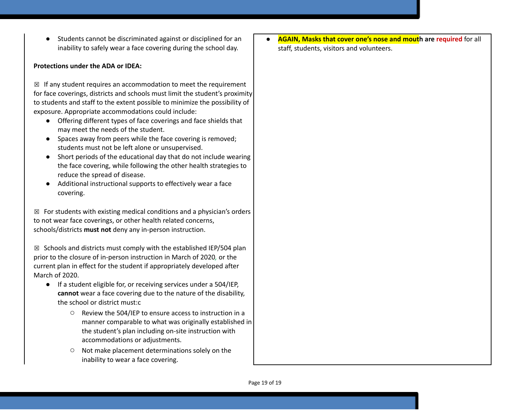● Students cannot be discriminated against or disciplined for an inability to safely wear a face covering during the school day.

#### **Protections under the ADA or IDEA:**

 $\boxtimes$  If any student requires an accommodation to meet the requirement for face coverings, districts and schools must limit the student's proximity to students and staff to the extent possible to minimize the possibility of exposure. Appropriate accommodations could include:

- Offering different types of face coverings and face shields that may meet the needs of the student.
- Spaces away from peers while the face covering is removed; students must not be left alone or unsupervised.
- Short periods of the educational day that do not include wearing the face covering, while following the other health strategies to reduce the spread of disease.
- Additional instructional supports to effectively wear a face covering.

 $\boxtimes$  For students with existing medical conditions and a physician's orders to not wear face coverings, or other health related concerns, schools/districts **must not** deny any in-person instruction.

 $\boxtimes$  Schools and districts must comply with the established IEP/504 plan prior to the closure of in-person instruction in March of 2020*,* or the current plan in effect for the student if appropriately developed after March of 2020.

- If a student eligible for, or receiving services under a 504/IEP, **cannot** wear a face covering due to the nature of the disability, the school or district must:c
	- Review the 504/IEP to ensure access to instruction in a manner comparable to what was originally established in the student's plan including on-site instruction with accommodations or adjustments.
	- Not make placement determinations solely on the inability to wear a face covering.

● **AGAIN, Masks that cover one's nose and mouth are required** for all staff, students, visitors and volunteers.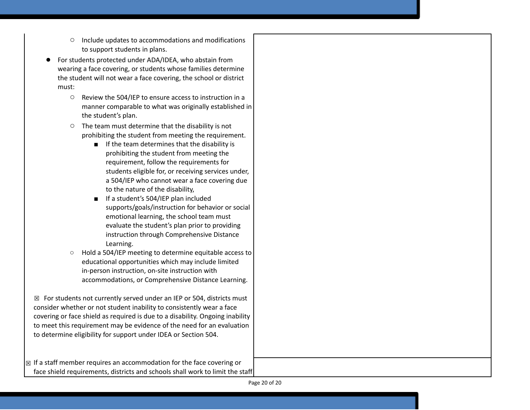- Include updates to accommodations and modifications to support students in plans.
- For students protected under ADA/IDEA, who abstain from wearing a face covering, or students whose families determine the student will not wear a face covering, the school or district must:
	- Review the 504/IEP to ensure access to instruction in a manner comparable to what was originally established in the student's plan.
	- The team must determine that the disability is not prohibiting the student from meeting the requirement.
		- If the team determines that the disability is prohibiting the student from meeting the requirement, follow the requirements for students eligible for, or receiving services under, a 504/IEP who cannot wear a face covering due to the nature of the disability,
		- If a student's 504/IEP plan included supports/goals/instruction for behavior or social emotional learning, the school team must evaluate the student's plan prior to providing instruction through Comprehensive Distance Learning.
	- Hold a 504/IEP meeting to determine equitable access to educational opportunities which may include limited in-person instruction, on-site instruction with accommodations, or Comprehensive Distance Learning.

 $\boxtimes$  For students not currently served under an IEP or 504, districts must consider whether or not student inability to consistently wear a face covering or face shield as required is due to a disability. Ongoing inability to meet this requirement may be evidence of the need for an evaluation to determine eligibility for support under IDEA or Section 504.

 $\boxtimes$  If a staff member requires an accommodation for the face covering or face shield requirements, districts and schools shall work to limit the staff

Page 20 of 20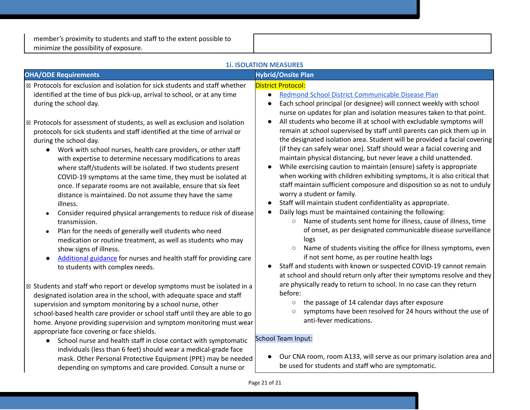member's proximity to students and staff to the extent possible to minimize the possibility of exposure.

| <b>1i. ISOLATION MEASURES</b>                                                                                                                                                                                                                                                                                                                                                                                                                                                                                                                                                                                                                                                                                                                                                                                                                                            |                                                                                                                                                                                                                                                                                                                                                                                                                                                                                                                                                                                                                                                                                                                                                                                                                                                                                                                                                                                                                                                                                                                             |  |
|--------------------------------------------------------------------------------------------------------------------------------------------------------------------------------------------------------------------------------------------------------------------------------------------------------------------------------------------------------------------------------------------------------------------------------------------------------------------------------------------------------------------------------------------------------------------------------------------------------------------------------------------------------------------------------------------------------------------------------------------------------------------------------------------------------------------------------------------------------------------------|-----------------------------------------------------------------------------------------------------------------------------------------------------------------------------------------------------------------------------------------------------------------------------------------------------------------------------------------------------------------------------------------------------------------------------------------------------------------------------------------------------------------------------------------------------------------------------------------------------------------------------------------------------------------------------------------------------------------------------------------------------------------------------------------------------------------------------------------------------------------------------------------------------------------------------------------------------------------------------------------------------------------------------------------------------------------------------------------------------------------------------|--|
| <b>OHA/ODE Requirements</b>                                                                                                                                                                                                                                                                                                                                                                                                                                                                                                                                                                                                                                                                                                                                                                                                                                              | <b>Hybrid/Onsite Plan</b>                                                                                                                                                                                                                                                                                                                                                                                                                                                                                                                                                                                                                                                                                                                                                                                                                                                                                                                                                                                                                                                                                                   |  |
| $\boxtimes$ Protocols for exclusion and isolation for sick students and staff whether<br>identified at the time of bus pick-up, arrival to school, or at any time<br>during the school day.<br>$\boxtimes$ Protocols for assessment of students, as well as exclusion and isolation                                                                                                                                                                                                                                                                                                                                                                                                                                                                                                                                                                                      | <b>District Protocol:</b><br>Redmond School District Communicable Disease Plan<br>$\bullet$<br>Each school principal (or designee) will connect weekly with school<br>nurse on updates for plan and isolation measures taken to that point.<br>All students who become ill at school with excludable symptoms will                                                                                                                                                                                                                                                                                                                                                                                                                                                                                                                                                                                                                                                                                                                                                                                                          |  |
| protocols for sick students and staff identified at the time of arrival or<br>during the school day.<br>• Work with school nurses, health care providers, or other staff<br>with expertise to determine necessary modifications to areas<br>where staff/students will be isolated. If two students present<br>COVID-19 symptoms at the same time, they must be isolated at<br>once. If separate rooms are not available, ensure that six feet<br>distance is maintained. Do not assume they have the same<br>illness.<br>Consider required physical arrangements to reduce risk of disease<br>transmission.<br>Plan for the needs of generally well students who need<br>medication or routine treatment, as well as students who may<br>show signs of illness.<br>Additional guidance for nurses and health staff for providing care<br>to students with complex needs. | remain at school supervised by staff until parents can pick them up in<br>the designated isolation area. Student will be provided a facial covering<br>(if they can safely wear one). Staff should wear a facial covering and<br>maintain physical distancing, but never leave a child unattended.<br>While exercising caution to maintain (ensure) safety is appropriate<br>when working with children exhibiting symptoms, it is also critical that<br>staff maintain sufficient composure and disposition so as not to unduly<br>worry a student or family.<br>Staff will maintain student confidentiality as appropriate.<br>Daily logs must be maintained containing the following:<br>Name of students sent home for illness, cause of illness, time<br>$\circ$<br>of onset, as per designated communicable disease surveillance<br>logs<br>Name of students visiting the office for illness symptoms, even<br>$\circ$<br>if not sent home, as per routine health logs<br>Staff and students with known or suspected COVID-19 cannot remain<br>at school and should return only after their symptoms resolve and they |  |
| $\boxtimes$ Students and staff who report or develop symptoms must be isolated in a<br>designated isolation area in the school, with adequate space and staff<br>supervision and symptom monitoring by a school nurse, other<br>school-based health care provider or school staff until they are able to go<br>home. Anyone providing supervision and symptom monitoring must wear<br>appropriate face covering or face shields.                                                                                                                                                                                                                                                                                                                                                                                                                                         | are physically ready to return to school. In no case can they return<br>before:<br>the passage of 14 calendar days after exposure<br>$\circ$<br>symptoms have been resolved for 24 hours without the use of<br>$\circ$<br>anti-fever medications.                                                                                                                                                                                                                                                                                                                                                                                                                                                                                                                                                                                                                                                                                                                                                                                                                                                                           |  |
| School nurse and health staff in close contact with symptomatic<br>$\bullet$<br>individuals (less than 6 feet) should wear a medical-grade face<br>mask. Other Personal Protective Equipment (PPE) may be needed<br>depending on symptoms and care provided. Consult a nurse or                                                                                                                                                                                                                                                                                                                                                                                                                                                                                                                                                                                          | <b>School Team Input:</b><br>Our CNA room, room A133, will serve as our primary isolation area and<br>be used for students and staff who are symptomatic.                                                                                                                                                                                                                                                                                                                                                                                                                                                                                                                                                                                                                                                                                                                                                                                                                                                                                                                                                                   |  |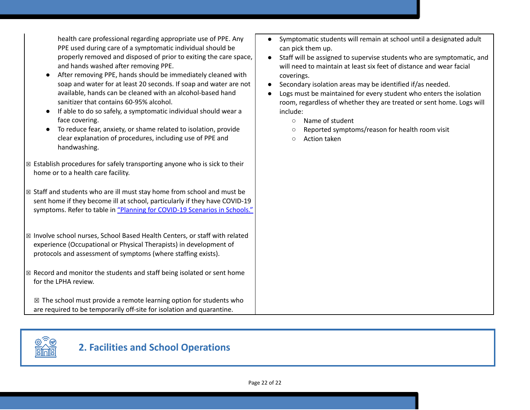health care professional regarding appropriate use of PPE. Any PPE used during care of a symptomatic individual should be properly removed and disposed of prior to exiting the care space, and hands washed after removing PPE.

- After removing PPE, hands should be immediately cleaned with soap and water for at least 20 seconds. If soap and water are not available, hands can be cleaned with an alcohol-based hand sanitizer that contains 60-95% alcohol.
- If able to do so safely, a symptomatic individual should wear a face covering.
- To reduce fear, anxiety, or shame related to isolation, provide clear explanation of procedures, including use of PPE and handwashing.
- $\boxtimes$  Establish procedures for safely transporting anyone who is sick to their home or to a health care facility.
- ☒ Staff and students who are ill must stay home from school and must be sent home if they become ill at school, particularly if they have COVID-19 symptoms. Refer to table i[n](https://www.oregon.gov/ode/students-and-family/healthsafety/Documents/Planning%20and%20Responding%20to%20COVID-19%20Scenarios%20in%20Schools%20August%202020.pdf) "Planning for [COVID-19](https://www.oregon.gov/ode/students-and-family/healthsafety/Documents/Planning%20and%20Responding%20to%20COVID-19%20Scenarios%20in%20Schools%20August%202020.pdf) Scenarios in Schools."
- ☒ Involve school nurses, School Based Health Centers, or staff with related experience (Occupational or Physical Therapists) in development of protocols and assessment of symptoms (where staffing exists).
- $\boxtimes$  Record and monitor the students and staff being isolated or sent home for the LPHA review.

 $\boxtimes$  The school must provide a remote learning option for students who are required to be temporarily off-site for isolation and quarantine.

- Symptomatic students will remain at school until a designated adult can pick them up.
- Staff will be assigned to supervise students who are symptomatic, and will need to maintain at least six feet of distance and wear facial coverings.
- Secondary isolation areas may be identified if/as needed.
- Logs must be maintained for every student who enters the isolation room, regardless of whether they are treated or sent home. Logs will include:
	- Name of student
	- Reported symptoms/reason for health room visit
	- Action taken



# **2. Facilities and School Operations**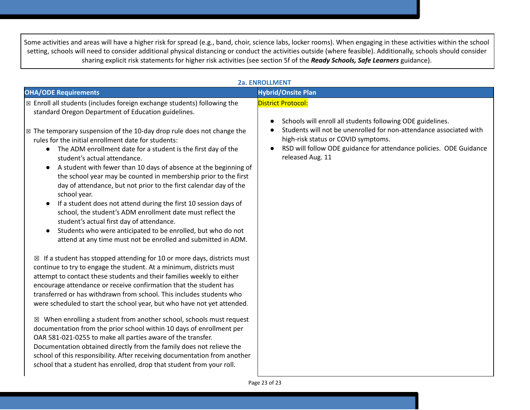Some activities and areas will have a higher risk for spread (e.g., band, choir, science labs, locker rooms). When engaging in these activities within the school setting, schools will need to consider additional physical distancing or conduct the activities outside (where feasible). Additionally, schools should consider sharing explicit risk statements for higher risk activities (see section 5f of the *Ready Schools, Safe Learners* guidance).

| <b>2a. ENROLLMENT</b>                                                                                                                                                                                                                                                                                                                                                                                                                                                                                                                        |                                                                                                                                                                                                                                                                                                                          |  |
|----------------------------------------------------------------------------------------------------------------------------------------------------------------------------------------------------------------------------------------------------------------------------------------------------------------------------------------------------------------------------------------------------------------------------------------------------------------------------------------------------------------------------------------------|--------------------------------------------------------------------------------------------------------------------------------------------------------------------------------------------------------------------------------------------------------------------------------------------------------------------------|--|
| <b>OHA/ODE Requirements</b>                                                                                                                                                                                                                                                                                                                                                                                                                                                                                                                  | <b>Hybrid/Onsite Plan</b>                                                                                                                                                                                                                                                                                                |  |
| ⊠ Enroll all students (includes foreign exchange students) following the<br>standard Oregon Department of Education guidelines.<br>$\boxtimes$ The temporary suspension of the 10-day drop rule does not change the<br>rules for the initial enrollment date for students:<br>The ADM enrollment date for a student is the first day of the<br>$\bullet$<br>student's actual attendance.<br>A student with fewer than 10 days of absence at the beginning of<br>$\bullet$<br>the school year may be counted in membership prior to the first | <b>District Protocol:</b><br>Schools will enroll all students following ODE guidelines.<br>$\bullet$<br>Students will not be unenrolled for non-attendance associated with<br>high-risk status or COVID symptoms.<br>RSD will follow ODE guidance for attendance policies. ODE Guidance<br>$\bullet$<br>released Aug. 11 |  |
| day of attendance, but not prior to the first calendar day of the<br>school year.<br>If a student does not attend during the first 10 session days of<br>$\bullet$<br>school, the student's ADM enrollment date must reflect the<br>student's actual first day of attendance.<br>Students who were anticipated to be enrolled, but who do not<br>$\bullet$<br>attend at any time must not be enrolled and submitted in ADM.                                                                                                                  |                                                                                                                                                                                                                                                                                                                          |  |
| $\boxtimes$ If a student has stopped attending for 10 or more days, districts must<br>continue to try to engage the student. At a minimum, districts must<br>attempt to contact these students and their families weekly to either<br>encourage attendance or receive confirmation that the student has<br>transferred or has withdrawn from school. This includes students who<br>were scheduled to start the school year, but who have not yet attended.                                                                                   |                                                                                                                                                                                                                                                                                                                          |  |
| $\boxtimes$ When enrolling a student from another school, schools must request<br>documentation from the prior school within 10 days of enrollment per<br>OAR 581-021-0255 to make all parties aware of the transfer.<br>Documentation obtained directly from the family does not relieve the<br>school of this responsibility. After receiving documentation from another<br>school that a student has enrolled, drop that student from your roll.                                                                                          |                                                                                                                                                                                                                                                                                                                          |  |

## **2a. ENROLLMENT**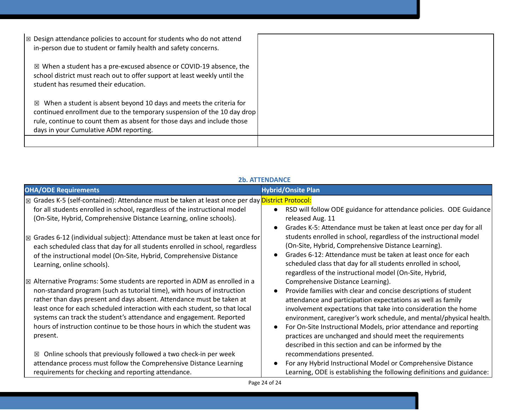| $\mathbb{Z}$ Design attendance policies to account for students who do not attend<br>in-person due to student or family health and safety concerns.                                                                                                                               |  |
|-----------------------------------------------------------------------------------------------------------------------------------------------------------------------------------------------------------------------------------------------------------------------------------|--|
| $\boxtimes$ When a student has a pre-excused absence or COVID-19 absence, the<br>school district must reach out to offer support at least weekly until the<br>student has resumed their education.                                                                                |  |
| When a student is absent beyond 10 days and meets the criteria for<br>$\boxtimes$<br>continued enrollment due to the temporary suspension of the 10 day drop<br>rule, continue to count them as absent for those days and include those<br>days in your Cumulative ADM reporting. |  |
|                                                                                                                                                                                                                                                                                   |  |

| <b>2b. ATTENDANCE</b>                                                                                                                                                                                                                                                                                                                                                                                                                                                                 |                                                                                                                                                                                                                                                                                                                                                                                                                                                                                                      |
|---------------------------------------------------------------------------------------------------------------------------------------------------------------------------------------------------------------------------------------------------------------------------------------------------------------------------------------------------------------------------------------------------------------------------------------------------------------------------------------|------------------------------------------------------------------------------------------------------------------------------------------------------------------------------------------------------------------------------------------------------------------------------------------------------------------------------------------------------------------------------------------------------------------------------------------------------------------------------------------------------|
| <b>OHA/ODE Requirements</b>                                                                                                                                                                                                                                                                                                                                                                                                                                                           | <b>Hybrid/Onsite Plan</b>                                                                                                                                                                                                                                                                                                                                                                                                                                                                            |
| ⊠ Grades K-5 (self-contained): Attendance must be taken at least once per day District Protocol:<br>for all students enrolled in school, regardless of the instructional model<br>(On-Site, Hybrid, Comprehensive Distance Learning, online schools).                                                                                                                                                                                                                                 | RSD will follow ODE guidance for attendance policies. ODE Guidance<br>released Aug. 11<br>Grades K-5: Attendance must be taken at least once per day for all                                                                                                                                                                                                                                                                                                                                         |
| $\boxtimes$ Grades 6-12 (individual subject): Attendance must be taken at least once for<br>each scheduled class that day for all students enrolled in school, regardless<br>of the instructional model (On-Site, Hybrid, Comprehensive Distance<br>Learning, online schools).                                                                                                                                                                                                        | students enrolled in school, regardless of the instructional model<br>(On-Site, Hybrid, Comprehensive Distance Learning).<br>Grades 6-12: Attendance must be taken at least once for each<br>scheduled class that day for all students enrolled in school,<br>regardless of the instructional model (On-Site, Hybrid,                                                                                                                                                                                |
| $\mathbb E$ Alternative Programs: Some students are reported in ADM as enrolled in a<br>non-standard program (such as tutorial time), with hours of instruction<br>rather than days present and days absent. Attendance must be taken at<br>least once for each scheduled interaction with each student, so that local<br>systems can track the student's attendance and engagement. Reported<br>hours of instruction continue to be those hours in which the student was<br>present. | Comprehensive Distance Learning).<br>Provide families with clear and concise descriptions of student<br>attendance and participation expectations as well as family<br>involvement expectations that take into consideration the home<br>environment, caregiver's work schedule, and mental/physical health.<br>For On-Site Instructional Models, prior attendance and reporting<br>practices are unchanged and should meet the requirements<br>described in this section and can be informed by the |
| Online schools that previously followed a two check-in per week<br>区<br>attendance process must follow the Comprehensive Distance Learning<br>requirements for checking and reporting attendance.                                                                                                                                                                                                                                                                                     | recommendations presented.<br>For any Hybrid Instructional Model or Comprehensive Distance<br>Learning, ODE is establishing the following definitions and guidance:                                                                                                                                                                                                                                                                                                                                  |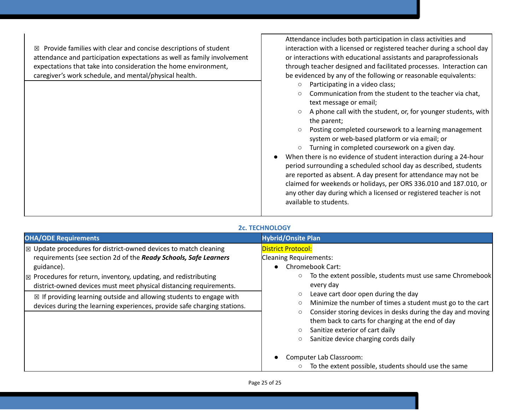$\boxtimes$  Provide families with clear and concise descriptions of student attendance and participation expectations as well as family involvement expectations that take into consideration the home environment, caregiver's work schedule, and mental/physical health.

Attendance includes both participation in class activities and interaction with a licensed or registered teacher during a school day or interactions with educational assistants and paraprofessionals through teacher designed and facilitated processes. Interaction can be evidenced by any of the following or reasonable equivalents:

- Participating in a video class;
- Communication from the student to the teacher via chat, text message or email;
- A phone call with the student, or, for younger students, with the parent;
- Posting completed coursework to a learning management system or web-based platform or via email; or
- Turning in completed coursework on a given day.
- When there is no evidence of student interaction during a 24-hour period surrounding a scheduled school day as described, students are reported as absent. A day present for attendance may not be claimed for weekends or holidays, per ORS 336.010 and 187.010, or any other day during which a licensed or registered teacher is not available to students.

#### **2c. TECHNOLOGY**

| <b>OHA/ODE Requirements</b>                                                                                                                                                                                                                                                                                                                                                                                                                                                       | <b>Hybrid/Onsite Plan</b>                                                                                                                                                                                                                                                                                                                                                                                                                                                                                                                              |
|-----------------------------------------------------------------------------------------------------------------------------------------------------------------------------------------------------------------------------------------------------------------------------------------------------------------------------------------------------------------------------------------------------------------------------------------------------------------------------------|--------------------------------------------------------------------------------------------------------------------------------------------------------------------------------------------------------------------------------------------------------------------------------------------------------------------------------------------------------------------------------------------------------------------------------------------------------------------------------------------------------------------------------------------------------|
| $\mathcal{R}$ Update procedures for district-owned devices to match cleaning<br>requirements (see section 2d of the Ready Schools, Safe Learners<br>guidance).<br>$\mathbb{R}$ Procedures for return, inventory, updating, and redistributing<br>district-owned devices must meet physical distancing requirements.<br>$\boxtimes$ If providing learning outside and allowing students to engage with<br>devices during the learning experiences, provide safe charging stations. | <b>District Protocol:</b><br><b>Cleaning Requirements:</b><br><b>Chromebook Cart:</b><br>To the extent possible, students must use same Chromebook<br>every day<br>Leave cart door open during the day<br>Minimize the number of times a student must go to the cart<br>Consider storing devices in desks during the day and moving<br>them back to carts for charging at the end of day<br>Sanitize exterior of cart daily<br>Sanitize device charging cords daily<br>Computer Lab Classroom:<br>To the extent possible, students should use the same |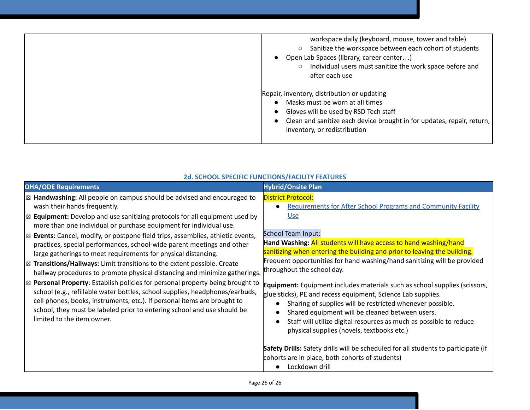| workspace daily (keyboard, mouse, tower and table)<br>Sanitize the workspace between each cohort of students<br>$\circ$<br>Open Lab Spaces (library, career center)<br>$\circ$ Individual users must sanitize the work space before and<br>after each use |
|-----------------------------------------------------------------------------------------------------------------------------------------------------------------------------------------------------------------------------------------------------------|
| Repair, inventory, distribution or updating<br>Masks must be worn at all times<br>Gloves will be used by RSD Tech staff<br>Clean and sanitize each device brought in for updates, repair, return,<br>inventory, or redistribution                         |

| <b>OHA/ODE Requirements</b>                                                                                                                                                                                                                                                                                                                                                                                                                                                                                                                                                                                                                                                                                                                                                                                                                                                                                                                                                                                                                                    | <b>Hybrid/Onsite Plan</b>                                                                                                                                                                                                                                                                                                                                                                                                                                                                                                                                                                                                                                                                                                                                                                                                                                                                                                                                  |
|----------------------------------------------------------------------------------------------------------------------------------------------------------------------------------------------------------------------------------------------------------------------------------------------------------------------------------------------------------------------------------------------------------------------------------------------------------------------------------------------------------------------------------------------------------------------------------------------------------------------------------------------------------------------------------------------------------------------------------------------------------------------------------------------------------------------------------------------------------------------------------------------------------------------------------------------------------------------------------------------------------------------------------------------------------------|------------------------------------------------------------------------------------------------------------------------------------------------------------------------------------------------------------------------------------------------------------------------------------------------------------------------------------------------------------------------------------------------------------------------------------------------------------------------------------------------------------------------------------------------------------------------------------------------------------------------------------------------------------------------------------------------------------------------------------------------------------------------------------------------------------------------------------------------------------------------------------------------------------------------------------------------------------|
| $\boxtimes$ Handwashing: All people on campus should be advised and encouraged to<br>wash their hands frequently.<br>$\boxtimes$ Equipment: Develop and use sanitizing protocols for all equipment used by<br>more than one individual or purchase equipment for individual use.<br>$\boxtimes$ Events: Cancel, modify, or postpone field trips, assemblies, athletic events,<br>practices, special performances, school-wide parent meetings and other<br>large gatherings to meet requirements for physical distancing.<br>$\boxtimes$ Transitions/Hallways: Limit transitions to the extent possible. Create<br>hallway procedures to promote physical distancing and minimize gatherings.<br>$\boxtimes$ Personal Property: Establish policies for personal property being brought to<br>school (e.g., refillable water bottles, school supplies, headphones/earbuds,<br>cell phones, books, instruments, etc.). If personal items are brought to<br>school, they must be labeled prior to entering school and use should be<br>limited to the item owner. | <b>District Protocol:</b><br><b>Requirements for After School Programs and Community Facility</b><br><b>Use</b><br><b>School Team Input:</b><br>Hand Washing: All students will have access to hand washing/hand<br>sanitizing when entering the building and prior to leaving the building.<br>Frequent opportunities for hand washing/hand sanitizing will be provided<br>throughout the school day.<br><b>Equipment:</b> Equipment includes materials such as school supplies (scissors,<br>glue sticks), PE and recess equipment, Science Lab supplies.<br>Sharing of supplies will be restricted whenever possible.<br>Shared equipment will be cleaned between users.<br>Staff will utilize digital resources as much as possible to reduce<br>physical supplies (novels, textbooks etc.)<br>Safety Drills: Safety drills will be scheduled for all students to participate (if<br>cohorts are in place, both cohorts of students)<br>Lockdown drill |

## **2d. SCHOOL SPECIFIC FUNCTIONS/FACILITY FEATURES**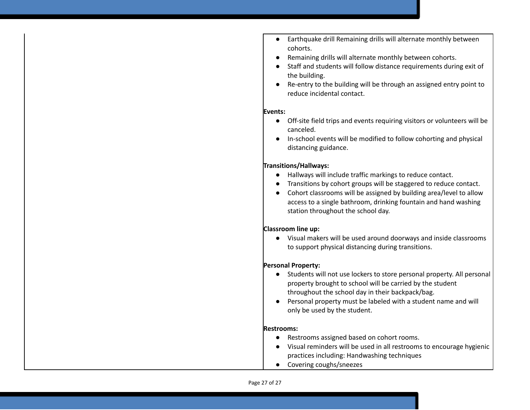- Earthquake drill Remaining drills will alternate monthly between cohorts.
- Remaining drills will alternate monthly between cohorts.
- Staff and students will follow distance requirements during exit of the building.
- Re-entry to the building will be through an assigned entry point to reduce incidental contact.

#### **Events:**

- Off-site field trips and events requiring visitors or volunteers will be canceled.
- In-school events will be modified to follow cohorting and physical distancing guidance.

#### **Transitions/Hallways:**

- Hallways will include traffic markings to reduce contact.
- Transitions by cohort groups will be staggered to reduce contact.
- Cohort classrooms will be assigned by building area/level to allow access to a single bathroom, drinking fountain and hand washing station throughout the school day.

#### **Classroom line up:**

● Visual makers will be used around doorways and inside classrooms to support physical distancing during transitions.

#### **Personal Property:**

- Students will not use lockers to store personal property. All personal property brought to school will be carried by the student throughout the school day in their backpack/bag.
- Personal property must be labeled with a student name and will only be used by the student.

#### **Restrooms:**

- Restrooms assigned based on cohort rooms.
- Visual reminders will be used in all restrooms to encourage hygienic practices including: Handwashing techniques
- Covering coughs/sneezes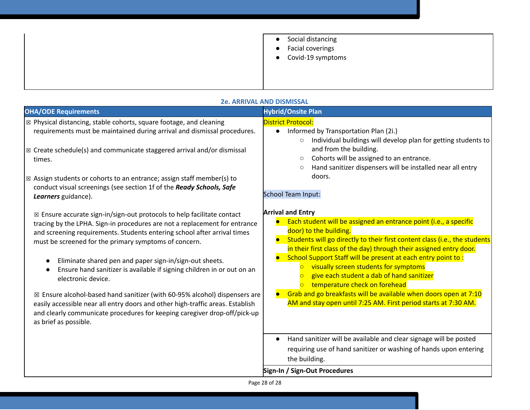|  | Social distancing<br>$\bullet$<br>• Facial coverings<br>$\bullet$ Covid-19 symptoms |
|--|-------------------------------------------------------------------------------------|
|--|-------------------------------------------------------------------------------------|

| <b>OHA/ODE Requirements</b>                                                                                                                                                                                                                                                                                                                                                                                                                                                                                                                                                                                                                                                                                                                                               | <b>Hybrid/Onsite Plan</b>                                                                                                                                                                                                                                                                                                                                                                                                                                                                                                                                                                                                    |
|---------------------------------------------------------------------------------------------------------------------------------------------------------------------------------------------------------------------------------------------------------------------------------------------------------------------------------------------------------------------------------------------------------------------------------------------------------------------------------------------------------------------------------------------------------------------------------------------------------------------------------------------------------------------------------------------------------------------------------------------------------------------------|------------------------------------------------------------------------------------------------------------------------------------------------------------------------------------------------------------------------------------------------------------------------------------------------------------------------------------------------------------------------------------------------------------------------------------------------------------------------------------------------------------------------------------------------------------------------------------------------------------------------------|
| ⊠ Physical distancing, stable cohorts, square footage, and cleaning<br>requirements must be maintained during arrival and dismissal procedures.                                                                                                                                                                                                                                                                                                                                                                                                                                                                                                                                                                                                                           | <b>District Protocol:</b><br>Informed by Transportation Plan (2i.)<br>$\bullet$<br>Individual buildings will develop plan for getting students to<br>$\circ$                                                                                                                                                                                                                                                                                                                                                                                                                                                                 |
| $\boxtimes$ Create schedule(s) and communicate staggered arrival and/or dismissal<br>times.                                                                                                                                                                                                                                                                                                                                                                                                                                                                                                                                                                                                                                                                               | and from the building.<br>Cohorts will be assigned to an entrance.<br>$\circ$<br>Hand sanitizer dispensers will be installed near all entry<br>$\circ$                                                                                                                                                                                                                                                                                                                                                                                                                                                                       |
| $\boxtimes$ Assign students or cohorts to an entrance; assign staff member(s) to<br>conduct visual screenings (see section 1f of the Ready Schools, Safe<br>Learners guidance).                                                                                                                                                                                                                                                                                                                                                                                                                                                                                                                                                                                           | doors.<br><b>School Team Input:</b>                                                                                                                                                                                                                                                                                                                                                                                                                                                                                                                                                                                          |
| $\boxtimes$ Ensure accurate sign-in/sign-out protocols to help facilitate contact<br>tracing by the LPHA. Sign-in procedures are not a replacement for entrance<br>and screening requirements. Students entering school after arrival times<br>must be screened for the primary symptoms of concern.<br>Eliminate shared pen and paper sign-in/sign-out sheets.<br>$\bullet$<br>Ensure hand sanitizer is available if signing children in or out on an<br>$\bullet$<br>electronic device.<br>$\boxtimes$ Ensure alcohol-based hand sanitizer (with 60-95% alcohol) dispensers are<br>easily accessible near all entry doors and other high-traffic areas. Establish<br>and clearly communicate procedures for keeping caregiver drop-off/pick-up<br>as brief as possible. | <b>Arrival and Entry</b><br>Each student will be assigned an entrance point (i.e., a specific<br>door) to the building.<br>Students will go directly to their first content class (i.e., the students<br>in their first class of the day) through their assigned entry door.<br>School Support Staff will be present at each entry point to:<br>visually screen students for symptoms<br>$\overline{O}$<br>give each student a dab of hand sanitizer<br>temperature check on forehead<br>Grab and go breakfasts will be available when doors open at 7:10<br>AM and stay open until 7:25 AM. First period starts at 7:30 AM. |
|                                                                                                                                                                                                                                                                                                                                                                                                                                                                                                                                                                                                                                                                                                                                                                           | Hand sanitizer will be available and clear signage will be posted<br>requiring use of hand sanitizer or washing of hands upon entering<br>the building.                                                                                                                                                                                                                                                                                                                                                                                                                                                                      |
|                                                                                                                                                                                                                                                                                                                                                                                                                                                                                                                                                                                                                                                                                                                                                                           | Sign-In / Sign-Out Procedures                                                                                                                                                                                                                                                                                                                                                                                                                                                                                                                                                                                                |

#### **2e. ARRIVAL AND DISMISSAL**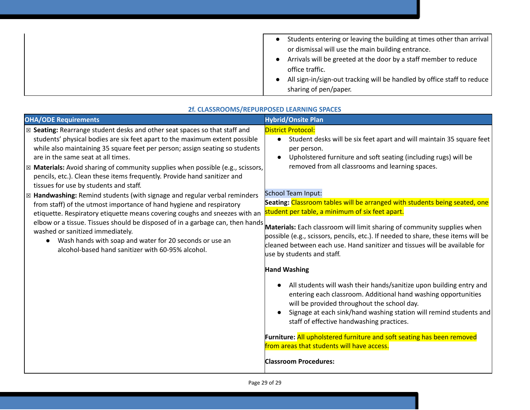| Students entering or leaving the building at times other than arrival   |
|-------------------------------------------------------------------------|
| or dismissal will use the main building entrance.                       |
| Arrivals will be greeted at the door by a staff member to reduce        |
| office traffic.                                                         |
| All sign-in/sign-out tracking will be handled by office staff to reduce |
| sharing of pen/paper.                                                   |

| <b>OHA/ODE Requirements</b>                                                               | <b>Hybrid/Onsite Plan</b>                                                                                                                                                                                                                                                                                                                                                                                                                                                                           |
|-------------------------------------------------------------------------------------------|-----------------------------------------------------------------------------------------------------------------------------------------------------------------------------------------------------------------------------------------------------------------------------------------------------------------------------------------------------------------------------------------------------------------------------------------------------------------------------------------------------|
| ⊠ Seating: Rearrange student desks and other seat spaces so that staff and                | <b>District Protocol:</b>                                                                                                                                                                                                                                                                                                                                                                                                                                                                           |
| students' physical bodies are six feet apart to the maximum extent possible               | Student desks will be six feet apart and will maintain 35 square feet                                                                                                                                                                                                                                                                                                                                                                                                                               |
| while also maintaining 35 square feet per person; assign seating so students              | $\bullet$                                                                                                                                                                                                                                                                                                                                                                                                                                                                                           |
| are in the same seat at all times.                                                        | per person.                                                                                                                                                                                                                                                                                                                                                                                                                                                                                         |
| $\boxtimes$ Materials: Avoid sharing of community supplies when possible (e.g., scissors, | Upholstered furniture and soft seating (including rugs) will be                                                                                                                                                                                                                                                                                                                                                                                                                                     |
| pencils, etc.). Clean these items frequently. Provide hand sanitizer and                  | $\bullet$                                                                                                                                                                                                                                                                                                                                                                                                                                                                                           |
| tissues for use by students and staff.                                                    | removed from all classrooms and learning spaces.                                                                                                                                                                                                                                                                                                                                                                                                                                                    |
| $\boxtimes$ Handwashing: Remind students (with signage and regular verbal reminders       | <b>School Team Input:</b>                                                                                                                                                                                                                                                                                                                                                                                                                                                                           |
| from staff) of the utmost importance of hand hygiene and respiratory                      | Seating: Classroom tables will be arranged with students being seated, one                                                                                                                                                                                                                                                                                                                                                                                                                          |
| etiquette. Respiratory etiquette means covering coughs and sneezes with an                | student per table, a minimum of six feet apart.                                                                                                                                                                                                                                                                                                                                                                                                                                                     |
| elbow or a tissue. Tissues should be disposed of in a garbage can, then hands             | Materials: Each classroom will limit sharing of community supplies when                                                                                                                                                                                                                                                                                                                                                                                                                             |
| washed or sanitized immediately.                                                          | possible (e.g., scissors, pencils, etc.). If needed to share, these items will be                                                                                                                                                                                                                                                                                                                                                                                                                   |
| Wash hands with soap and water for 20 seconds or use an                                   | cleaned between each use. Hand sanitizer and tissues will be available for                                                                                                                                                                                                                                                                                                                                                                                                                          |
| alcohol-based hand sanitizer with 60-95% alcohol.                                         | use by students and staff.                                                                                                                                                                                                                                                                                                                                                                                                                                                                          |
|                                                                                           | <b>Hand Washing</b><br>All students will wash their hands/sanitize upon building entry and<br>entering each classroom. Additional hand washing opportunities<br>will be provided throughout the school day.<br>Signage at each sink/hand washing station will remind students and<br>$\bullet$<br>staff of effective handwashing practices.<br>Furniture: All upholstered furniture and soft seating has been removed<br>from areas that students will have access.<br><b>Classroom Procedures:</b> |

### **2f. CLASSROOMS/REPURPOSED LEARNING SPACES**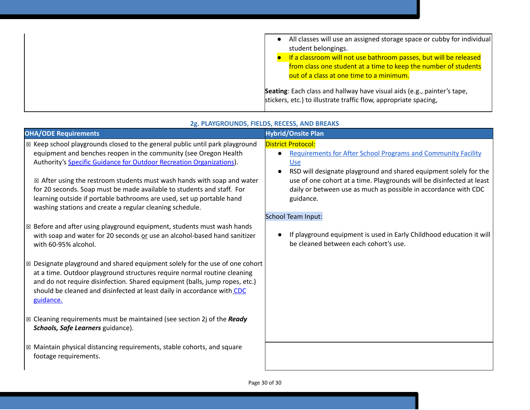| All classes will use an assigned storage space or cubby for individual<br>$\bullet$<br>student belongings.<br>If a classroom will not use bathroom passes, but will be released<br>from class one student at a time to keep the number of students<br>out of a class at one time to a minimum. |
|------------------------------------------------------------------------------------------------------------------------------------------------------------------------------------------------------------------------------------------------------------------------------------------------|
| Seating: Each class and hallway have visual aids (e.g., painter's tape,<br>stickers, etc.) to illustrate traffic flow, appropriate spacing,                                                                                                                                                    |

| <b>OHA/ODE Requirements</b>                                                                                                                     | <b>Hybrid/Onsite Plan</b>                                                      |
|-------------------------------------------------------------------------------------------------------------------------------------------------|--------------------------------------------------------------------------------|
| ⊠ Keep school playgrounds closed to the general public until park playground                                                                    | <b>District Protocol:</b>                                                      |
| equipment and benches reopen in the community (see Oregon Health                                                                                | <b>Requirements for After School Programs and Community Facility</b>           |
| Authority's Specific Guidance for Outdoor Recreation Organizations).                                                                            | <b>Use</b>                                                                     |
|                                                                                                                                                 | RSD will designate playground and shared equipment solely for the<br>$\bullet$ |
| $\boxtimes$ After using the restroom students must wash hands with soap and water                                                               | use of one cohort at a time. Playgrounds will be disinfected at least          |
| for 20 seconds. Soap must be made available to students and staff. For<br>learning outside if portable bathrooms are used, set up portable hand | daily or between use as much as possible in accordance with CDC<br>guidance.   |
| washing stations and create a regular cleaning schedule.                                                                                        |                                                                                |
|                                                                                                                                                 | <b>School Team Input:</b>                                                      |
| $\boxtimes$ Before and after using playground equipment, students must wash hands                                                               |                                                                                |
| with soap and water for 20 seconds or use an alcohol-based hand sanitizer                                                                       | If playground equipment is used in Early Childhood education it will           |
| with 60-95% alcohol.                                                                                                                            | be cleaned between each cohort's use.                                          |
|                                                                                                                                                 |                                                                                |
| $\boxtimes$ Designate playground and shared equipment solely for the use of one cohort                                                          |                                                                                |
| at a time. Outdoor playground structures require normal routine cleaning                                                                        |                                                                                |
| and do not require disinfection. Shared equipment (balls, jump ropes, etc.)                                                                     |                                                                                |
| should be cleaned and disinfected at least daily in accordance with CDC                                                                         |                                                                                |
| guidance.                                                                                                                                       |                                                                                |
| $\boxtimes$ Cleaning requirements must be maintained (see section 2j of the Ready                                                               |                                                                                |
| Schools, Safe Learners guidance).                                                                                                               |                                                                                |
|                                                                                                                                                 |                                                                                |
| $\boxtimes$ Maintain physical distancing requirements, stable cohorts, and square                                                               |                                                                                |
| footage requirements.                                                                                                                           |                                                                                |
|                                                                                                                                                 |                                                                                |
|                                                                                                                                                 |                                                                                |

## **2g. PLAYGROUNDS, FIELDS, RECESS, AND BREAKS**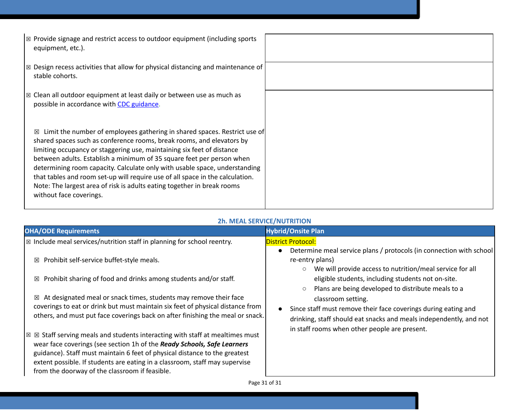| $\vert$ $\boxtimes$ Provide signage and restrict access to outdoor equipment (including sports<br>equipment, etc.).                                                                                                                                                                                                                                                                                                                                                                                                                                                             |  |
|---------------------------------------------------------------------------------------------------------------------------------------------------------------------------------------------------------------------------------------------------------------------------------------------------------------------------------------------------------------------------------------------------------------------------------------------------------------------------------------------------------------------------------------------------------------------------------|--|
| $\boxtimes$ Design recess activities that allow for physical distancing and maintenance of<br>stable cohorts.                                                                                                                                                                                                                                                                                                                                                                                                                                                                   |  |
| $\mathbb E$ Clean all outdoor equipment at least daily or between use as much as<br>possible in accordance with CDC guidance.                                                                                                                                                                                                                                                                                                                                                                                                                                                   |  |
| Limit the number of employees gathering in shared spaces. Restrict use of<br>⊠<br>shared spaces such as conference rooms, break rooms, and elevators by<br>limiting occupancy or staggering use, maintaining six feet of distance<br>between adults. Establish a minimum of 35 square feet per person when<br>determining room capacity. Calculate only with usable space, understanding<br>that tables and room set-up will require use of all space in the calculation.<br>Note: The largest area of risk is adults eating together in break rooms<br>without face coverings. |  |

### **2h. MEAL SERVICE/NUTRITION**

| <b>OHA/ODE Requirements</b>                                                                                                                                                                                                                                                                                                                                                          | <b>Hybrid/Onsite Plan</b>                                                                                                                                               |
|--------------------------------------------------------------------------------------------------------------------------------------------------------------------------------------------------------------------------------------------------------------------------------------------------------------------------------------------------------------------------------------|-------------------------------------------------------------------------------------------------------------------------------------------------------------------------|
| $\vert$ $\boxtimes$ Include meal services/nutrition staff in planning for school reentry.                                                                                                                                                                                                                                                                                            | <b>District Protocol:</b><br>Determine meal service plans / protocols (in connection with school<br>$\bullet$                                                           |
| $\boxtimes$ Prohibit self-service buffet-style meals.                                                                                                                                                                                                                                                                                                                                | re-entry plans)<br>We will provide access to nutrition/meal service for all<br>$\circ$                                                                                  |
| $\boxtimes$ Prohibit sharing of food and drinks among students and/or staff.                                                                                                                                                                                                                                                                                                         | eligible students, including students not on-site.<br>Plans are being developed to distribute meals to a<br>$\circ$                                                     |
| $\boxtimes$ At designated meal or snack times, students may remove their face<br>coverings to eat or drink but must maintain six feet of physical distance from<br>others, and must put face coverings back on after finishing the meal or snack.                                                                                                                                    | classroom setting.<br>Since staff must remove their face coverings during eating and<br>$\bullet$<br>drinking, staff should eat snacks and meals independently, and not |
| $\boxtimes$ Staff serving meals and students interacting with staff at mealtimes must<br>X<br>wear face coverings (see section 1h of the Ready Schools, Safe Learners<br>guidance). Staff must maintain 6 feet of physical distance to the greatest<br>extent possible. If students are eating in a classroom, staff may supervise<br>from the doorway of the classroom if feasible. | in staff rooms when other people are present.                                                                                                                           |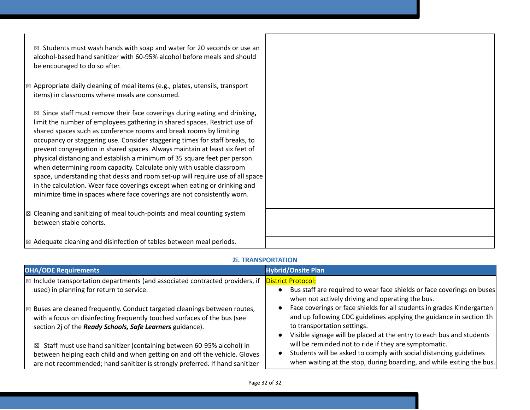| $\boxtimes$ Students must wash hands with soap and water for 20 seconds or use an<br>alcohol-based hand sanitizer with 60-95% alcohol before meals and should<br>be encouraged to do so after.                                                                                                                                                                                                                                                                                                                                                                                                                                                                                                                                                                                                      |  |
|-----------------------------------------------------------------------------------------------------------------------------------------------------------------------------------------------------------------------------------------------------------------------------------------------------------------------------------------------------------------------------------------------------------------------------------------------------------------------------------------------------------------------------------------------------------------------------------------------------------------------------------------------------------------------------------------------------------------------------------------------------------------------------------------------------|--|
| $\boxtimes$ Appropriate daily cleaning of meal items (e.g., plates, utensils, transport<br>items) in classrooms where meals are consumed.                                                                                                                                                                                                                                                                                                                                                                                                                                                                                                                                                                                                                                                           |  |
| $\boxtimes$ Since staff must remove their face coverings during eating and drinking,<br>limit the number of employees gathering in shared spaces. Restrict use of<br>shared spaces such as conference rooms and break rooms by limiting<br>occupancy or staggering use. Consider staggering times for staff breaks, to<br>prevent congregation in shared spaces. Always maintain at least six feet of<br>physical distancing and establish a minimum of 35 square feet per person<br>when determining room capacity. Calculate only with usable classroom<br>space, understanding that desks and room set-up will require use of all space<br>in the calculation. Wear face coverings except when eating or drinking and<br>minimize time in spaces where face coverings are not consistently worn. |  |
| $\boxtimes$ Cleaning and sanitizing of meal touch-points and meal counting system<br>between stable cohorts.                                                                                                                                                                                                                                                                                                                                                                                                                                                                                                                                                                                                                                                                                        |  |
| $\boxtimes$ Adequate cleaning and disinfection of tables between meal periods.                                                                                                                                                                                                                                                                                                                                                                                                                                                                                                                                                                                                                                                                                                                      |  |

## **2i. TRANSPORTATION**

| <b>OHA/ODE Requirements</b>                                                                                                                                                                                                                    | <b>Hybrid/Onsite Plan</b>                                                                                                                                                                                                                                                      |
|------------------------------------------------------------------------------------------------------------------------------------------------------------------------------------------------------------------------------------------------|--------------------------------------------------------------------------------------------------------------------------------------------------------------------------------------------------------------------------------------------------------------------------------|
| $\mathbb{R}$ Include transportation departments (and associated contracted providers, if<br>used) in planning for return to service.                                                                                                           | <b>District Protocol:</b><br>Bus staff are required to wear face shields or face coverings on buses<br>$\bullet$<br>when not actively driving and operating the bus.                                                                                                           |
| $\mathbb{R}$ Buses are cleaned frequently. Conduct targeted cleanings between routes,<br>with a focus on disinfecting frequently touched surfaces of the bus (see<br>section 2j of the Ready Schools, Safe Learners guidance).                 | Face coverings or face shields for all students in grades Kindergarten<br>$\bullet$<br>and up following CDC guidelines applying the guidance in section 1h<br>to transportation settings.<br>Visible signage will be placed at the entry to each bus and students<br>$\bullet$ |
| $\boxtimes$ Staff must use hand sanitizer (containing between 60-95% alcohol) in<br>between helping each child and when getting on and off the vehicle. Gloves<br>are not recommended; hand sanitizer is strongly preferred. If hand sanitizer | will be reminded not to ride if they are symptomatic.<br>Students will be asked to comply with social distancing guidelines<br>when waiting at the stop, during boarding, and while exiting the bus.                                                                           |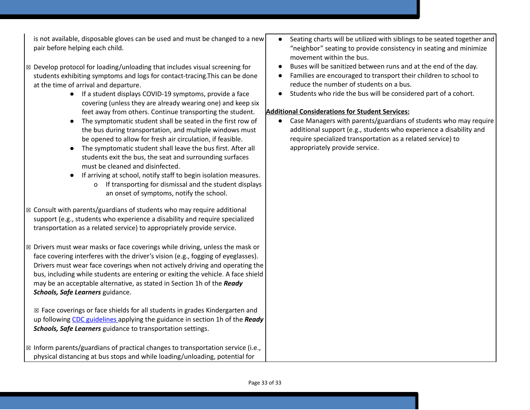is not available, disposable gloves can be used and must be changed to a new pair before helping each child.

- ☒ Develop protocol for loading/unloading that includes visual screening for students exhibiting symptoms and logs for contact-tracing.This can be done at the time of arrival and departure.
	- If a student displays COVID-19 symptoms, provide a face covering (unless they are already wearing one) and keep six feet away from others. Continue transporting the student.
	- The symptomatic student shall be seated in the first row of the bus during transportation, and multiple windows must be opened to allow for fresh air circulation, if feasible.
	- The symptomatic student shall leave the bus first. After all students exit the bus, the seat and surrounding surfaces must be cleaned and disinfected.
	- If arriving at school, notify staff to begin isolation measures.
		- o If transporting for dismissal and the student displays an onset of symptoms, notify the school.
- ☒ Consult with parents/guardians of students who may require additional support (e.g., students who experience a disability and require specialized transportation as a related service) to appropriately provide service.
- ☒ Drivers must wear masks or face coverings while driving, unless the mask or face covering interferes with the driver's vision (e.g., fogging of eyeglasses). Drivers must wear face coverings when not actively driving and operating the bus, including while students are entering or exiting the vehicle. A face shield may be an acceptable alternative, as stated in Section 1h of the *Ready Schools, Safe Learners* guidance.

☒ Face coverings or face shields for all students in grades Kindergarten and up followin[g](https://www.cdc.gov/coronavirus/2019-ncov/prevent-getting-sick/diy-cloth-face-coverings.html) CDC [guidelines](https://www.cdc.gov/coronavirus/2019-ncov/prevent-getting-sick/diy-cloth-face-coverings.html) applying the guidance in section 1h of the *Ready Schools, Safe Learners* guidance to transportation settings.

 $\boxtimes$  Inform parents/guardians of practical changes to transportation service (i.e., physical distancing at bus stops and while loading/unloading, potential for

- Seating charts will be utilized with siblings to be seated together and "neighbor" seating to provide consistency in seating and minimize movement within the bus.
- Buses will be sanitized between runs and at the end of the day.
- Families are encouraged to transport their children to school to reduce the number of students on a bus.
- Students who ride the bus will be considered part of a cohort.

## **Additional Considerations for Student Services:**

Case Managers with parents/guardians of students who may require additional support (e.g., students who experience a disability and require specialized transportation as a related service) to appropriately provide service.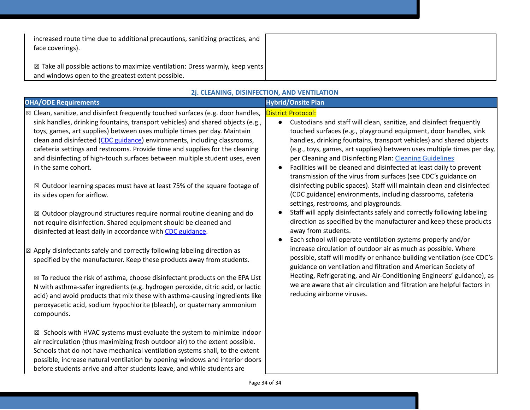| increased route time due to additional precautions, sanitizing practices, and<br>face coverings).                                  |  |
|------------------------------------------------------------------------------------------------------------------------------------|--|
| ⊠ Take all possible actions to maximize ventilation: Dress warmly, keep vents<br>and windows open to the greatest extent possible. |  |

#### **OHA/ODE Requirements Hybrid/Onsite Plan**  $\boxtimes$  Clean, sanitize, and disinfect frequently touched surfaces (e.g. door handles, sink handles, drinking fountains, transport vehicles) and shared objects (e.g., toys, games, art supplies) between uses multiple times per day. Maintain clean and disinfected (CDC guidance) environments, including classrooms, cafeteria settings and restrooms. Provide time and supplies for the cleaning and disinfecting of high-touch surfaces between multiple student uses, even in the same cohort. ☒ Outdoor learning spaces must have at least 75% of the square footage of its sides open for airflow. ☒ Outdoor playground structures require normal routine cleaning and do not require disinfection. Shared equipment should be cleaned and disinfected at least daily in accordance with [C](https://www.cdc.gov/coronavirus/2019-ncov/community/clean-disinfect/index.html)DC [guidance.](https://www.cdc.gov/coronavirus/2019-ncov/community/clean-disinfect/index.html) District Protocol: ● Custodians and staff will clean, sanitize, and disinfect frequently touched surfaces (e.g., playground equipment, door handles, sink handles, drinking fountains, transport vehicles) and shared objects (e.g., toys, games, art supplies) between uses multiple times per day, per Cleaning and Disinfecting Plan: Cleaning [Guidelines](https://docs.google.com/document/d/1X-GDErMuIsuLcBAkmQ0Sc9jkF6hVXN8P5NF5PvzKqa8/edit?ts=5f1f1410) ● Facilities will be cleaned and disinfected at least daily to prevent transmission of the virus from surfaces (see CDC's guidance on disinfecting public spaces). Staff will maintain clean and disinfected (CDC guidance) environments, including classrooms, cafeteria settings, restrooms, and playgrounds. ● Staff will apply disinfectants safely and correctly following labeling direction as specified by the manufacturer and keep these products away from students. ● Each school will operate ventilation systems properly and/or increase circulation of outdoor air as much as possible. Where possible, staff will modify or enhance building ventilation (see CDC's guidance on ventilation and filtration and American Society of Heating, Refrigerating, and Air-Conditioning Engineers' guidance), as we are aware that air circulation and filtration are helpful factors in reducing airborne viruses.  $\boxtimes$  Apply disinfectants safely and correctly following labeling direction as specified by the manufacturer. Keep these products away from students.  $\boxtimes$  To reduce the risk of asthma, choose disinfectant products on the EPA List N with asthma-safer ingredients (e.g. hydrogen peroxide, citric acid, or lactic acid) and avoid products that mix these with asthma-causing ingredients like peroxyacetic acid, sodium hypochlorite (bleach), or quaternary ammonium compounds.  $\boxtimes$  Schools with HVAC systems must evaluate the system to minimize indoor

**2j. CLEANING, DISINFECTION, AND VENTILATION**

air recirculation (thus maximizing fresh outdoor air) to the extent possible. Schools that do not have mechanical ventilation systems shall, to the extent possible, increase natural ventilation by opening windows and interior doors before students arrive and after students leave, and while students are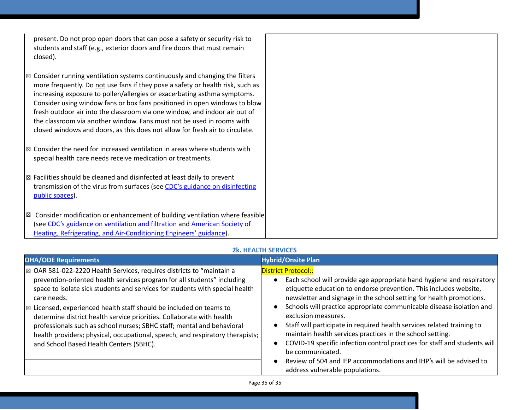| present. Do not prop open doors that can pose a safety or security risk to |  |
|----------------------------------------------------------------------------|--|
| students and staff (e.g., exterior doors and fire doors that must remain   |  |
| closed).                                                                   |  |

- $\boxtimes$  Consider running ventilation systems continuously and changing the filters more frequently. Do not use fans if they pose a safety or health risk, such as increasing exposure to pollen/allergies or exacerbating asthma symptoms. Consider using window fans or box fans positioned in open windows to blow fresh outdoor air into the classroom via one window, and indoor air out of the classroom via another window. Fans must not be used in rooms with closed windows and doors, as this does not allow for fresh air to circulate.
- $\boxtimes$  Consider the need for increased ventilation in areas where students with special health care needs receive medication or treatments.
- ☒ Facilities should be cleaned and disinfected at least daily to prevent transmission of the virus from surfaces (see CDC's guidance on [disinfecting](https://www.cdc.gov/coronavirus/2019-ncov/community/reopen-guidance.html) public [spaces\)](https://www.cdc.gov/coronavirus/2019-ncov/community/reopen-guidance.html).
- $\boxtimes$  Consider modification or enhancement of building ventilation where feasible (see CDC's guidance on [ventilation](https://www.cdc.gov/coronavirus/2019-ncov/community/guidance-business-response.html) and filtration and [American](https://www.ashrae.org/news/ashraejournal/guidance-for-building-operations-during-the-covid-19-pandemic) Society of Heating, Refrigerating, and [Air-Conditioning](https://www.ashrae.org/news/ashraejournal/guidance-for-building-operations-during-the-covid-19-pandemic) Engineers' guidance).

#### **2k. HEALTH SERVICES**

| <b>OHA/ODE Requirements</b>                                                                                                                                                                                                                                                                                                                                                                                                                                                                                                                                                                                     | <b>Hybrid/Onsite Plan</b>                                                                                                                                                                                                                                                                                                                                                                                                                                                                                                                                                                                                                                                                      |
|-----------------------------------------------------------------------------------------------------------------------------------------------------------------------------------------------------------------------------------------------------------------------------------------------------------------------------------------------------------------------------------------------------------------------------------------------------------------------------------------------------------------------------------------------------------------------------------------------------------------|------------------------------------------------------------------------------------------------------------------------------------------------------------------------------------------------------------------------------------------------------------------------------------------------------------------------------------------------------------------------------------------------------------------------------------------------------------------------------------------------------------------------------------------------------------------------------------------------------------------------------------------------------------------------------------------------|
| ⊠ OAR 581-022-2220 Health Services, requires districts to "maintain a<br>prevention-oriented health services program for all students" including<br>space to isolate sick students and services for students with special health<br>care needs.<br>$\boxtimes$ Licensed, experienced health staff should be included on teams to<br>determine district health service priorities. Collaborate with health<br>professionals such as school nurses; SBHC staff; mental and behavioral<br>health providers; physical, occupational, speech, and respiratory therapists;<br>and School Based Health Centers (SBHC). | <b>District Protocol::</b><br>Each school will provide age appropriate hand hygiene and respiratory<br>etiquette education to endorse prevention. This includes website,<br>newsletter and signage in the school setting for health promotions.<br>Schools will practice appropriate communicable disease isolation and<br>exclusion measures.<br>Staff will participate in required health services related training to<br>maintain health services practices in the school setting.<br>COVID-19 specific infection control practices for staff and students will<br>be communicated.<br>Review of 504 and IEP accommodations and IHP's will be advised to<br>address vulnerable populations. |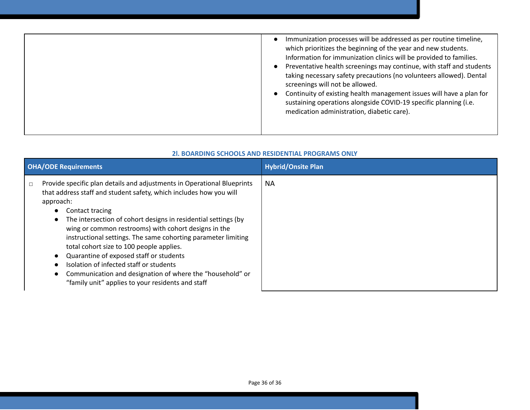| Immunization processes will be addressed as per routine timeline,<br>which prioritizes the beginning of the year and new students.<br>Information for immunization clinics will be provided to families.<br>Preventative health screenings may continue, with staff and students<br>taking necessary safety precautions (no volunteers allowed). Dental<br>screenings will not be allowed.<br>Continuity of existing health management issues will have a plan for<br>sustaining operations alongside COVID-19 specific planning (i.e.<br>medication administration, diabetic care). |  |
|--------------------------------------------------------------------------------------------------------------------------------------------------------------------------------------------------------------------------------------------------------------------------------------------------------------------------------------------------------------------------------------------------------------------------------------------------------------------------------------------------------------------------------------------------------------------------------------|--|
|                                                                                                                                                                                                                                                                                                                                                                                                                                                                                                                                                                                      |  |

#### **2l. BOARDING SCHOOLS AND RESIDENTIAL PROGRAMS ONLY**

| <b>OHA/ODE Requirements</b>                                                                                                                                                                                                                                                                                                                                                                                                                                                                                                                                                                                                                                      | <b>Hybrid/Onsite Plan</b> |
|------------------------------------------------------------------------------------------------------------------------------------------------------------------------------------------------------------------------------------------------------------------------------------------------------------------------------------------------------------------------------------------------------------------------------------------------------------------------------------------------------------------------------------------------------------------------------------------------------------------------------------------------------------------|---------------------------|
| Provide specific plan details and adjustments in Operational Blueprints<br>$\Box$<br>that address staff and student safety, which includes how you will<br>approach:<br>Contact tracing<br>$\bullet$<br>The intersection of cohort designs in residential settings (by<br>$\bullet$<br>wing or common restrooms) with cohort designs in the<br>instructional settings. The same cohorting parameter limiting<br>total cohort size to 100 people applies.<br>Quarantine of exposed staff or students<br>Isolation of infected staff or students<br>Communication and designation of where the "household" or<br>"family unit" applies to your residents and staff | <b>NA</b>                 |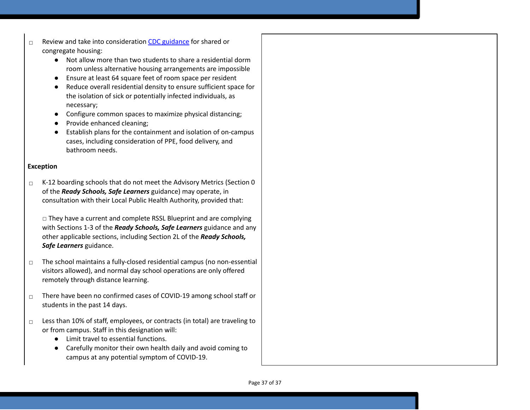- ☐ Review and take into consideration CDC [guidance](https://www.cdc.gov/coronavirus/2019-ncov/communication/toolkits/shared-congregate-housing.html) for shared or congregate housing:
	- Not allow more than two students to share a residential dorm room unless alternative housing arrangements are impossible
	- Ensure at least 64 square feet of room space per resident
	- Reduce overall residential density to ensure sufficient space for the isolation of sick or potentially infected individuals, as necessary;
	- Configure common spaces to maximize physical distancing;
	- Provide enhanced cleaning;
	- Establish plans for the containment and isolation of on-campus cases, including consideration of PPE, food delivery, and bathroom needs.

## **Exception**

□ K-12 boarding schools that do not meet the Advisory Metrics (Section 0 of the *Ready Schools, Safe Learners* guidance) may operate, in consultation with their Local Public Health Authority, provided that:

□ They have a current and complete RSSL Blueprint and are complying with Sections 1-3 of the *Ready Schools, Safe Learners* guidance and any other applicable sections, including Section 2L of the *Ready Schools, Safe Learners* guidance.

- ☐ The school maintains a fully-closed residential campus (no non-essential visitors allowed), and normal day school operations are only offered remotely through distance learning.
- ☐ There have been no confirmed cases of COVID-19 among school staff or students in the past 14 days.
- ☐ Less than 10% of staff, employees, or contracts (in total) are traveling to or from campus. Staff in this designation will:
	- Limit travel to essential functions.
	- Carefully monitor their own health daily and avoid coming to campus at any potential symptom of COVID-19.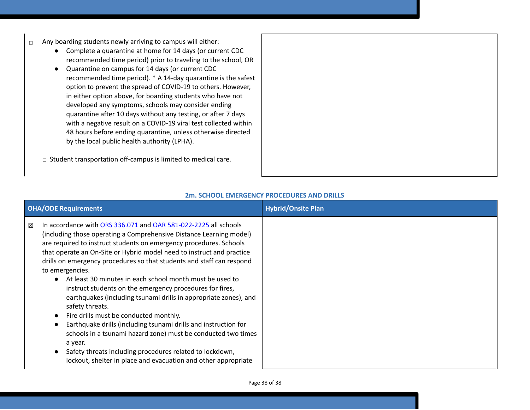- ☐ Any boarding students newly arriving to campus will either:
	- Complete a quarantine at home for 14 days (or current CDC recommended time period) prior to traveling to the school, OR
	- Quarantine on campus for 14 days (or current CDC recommended time period). \* A 14-day quarantine is the safest option to prevent the spread of COVID-19 to others. However, in either option above, for boarding students who have not developed any symptoms, schools may consider ending quarantine after 10 days without any testing, or after 7 days with a negative result on a COVID-19 viral test collected within 48 hours before ending quarantine, unless otherwise directed by the local public health authority (LPHA).
	- ☐ Student transportation off-campus is limited to medical care.

| <b>OHA/ODE Requirements</b>                                                                                                                                                                                                                                                                                                                                                                                                                                                                                                                                                                                                                                                                                                                                                                                                                                                                                                                         | <b>Hybrid/Onsite Plan</b> |
|-----------------------------------------------------------------------------------------------------------------------------------------------------------------------------------------------------------------------------------------------------------------------------------------------------------------------------------------------------------------------------------------------------------------------------------------------------------------------------------------------------------------------------------------------------------------------------------------------------------------------------------------------------------------------------------------------------------------------------------------------------------------------------------------------------------------------------------------------------------------------------------------------------------------------------------------------------|---------------------------|
| In accordance with ORS 336.071 and OAR 581-022-2225 all schools<br>$\boxtimes$<br>(including those operating a Comprehensive Distance Learning model)<br>are required to instruct students on emergency procedures. Schools<br>that operate an On-Site or Hybrid model need to instruct and practice<br>drills on emergency procedures so that students and staff can respond<br>to emergencies.<br>At least 30 minutes in each school month must be used to<br>$\bullet$<br>instruct students on the emergency procedures for fires,<br>earthquakes (including tsunami drills in appropriate zones), and<br>safety threats.<br>Fire drills must be conducted monthly.<br>Earthquake drills (including tsunami drills and instruction for<br>schools in a tsunami hazard zone) must be conducted two times<br>a year.<br>Safety threats including procedures related to lockdown,<br>lockout, shelter in place and evacuation and other appropriate |                           |

## **2m. SCHOOL EMERGENCY PROCEDURES AND DRILLS**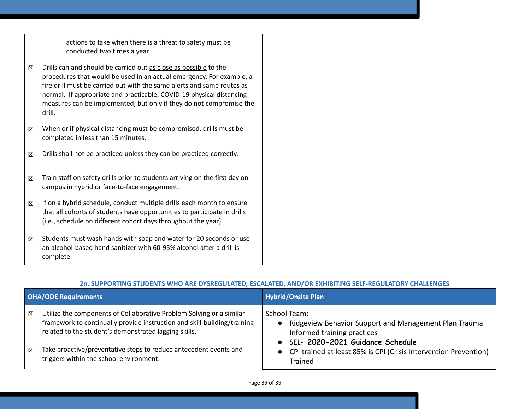|   | actions to take when there is a threat to safety must be<br>conducted two times a year.                                                                                                                                                                                                                                                                                     |  |
|---|-----------------------------------------------------------------------------------------------------------------------------------------------------------------------------------------------------------------------------------------------------------------------------------------------------------------------------------------------------------------------------|--|
| 冈 | Drills can and should be carried out as close as possible to the<br>procedures that would be used in an actual emergency. For example, a<br>fire drill must be carried out with the same alerts and same routes as<br>normal. If appropriate and practicable, COVID-19 physical distancing<br>measures can be implemented, but only if they do not compromise the<br>drill. |  |
| ⊠ | When or if physical distancing must be compromised, drills must be<br>completed in less than 15 minutes.                                                                                                                                                                                                                                                                    |  |
| ⊠ | Drills shall not be practiced unless they can be practiced correctly.                                                                                                                                                                                                                                                                                                       |  |
| ⊠ | Train staff on safety drills prior to students arriving on the first day on<br>campus in hybrid or face-to-face engagement.                                                                                                                                                                                                                                                 |  |
| ⊠ | If on a hybrid schedule, conduct multiple drills each month to ensure<br>that all cohorts of students have opportunities to participate in drills<br>(i.e., schedule on different cohort days throughout the year).                                                                                                                                                         |  |
| ⊠ | Students must wash hands with soap and water for 20 seconds or use<br>an alcohol-based hand sanitizer with 60-95% alcohol after a drill is<br>complete.                                                                                                                                                                                                                     |  |

## **2n. SUPPORTING STUDENTS WHO ARE DYSREGULATED, ESCALATED, AND/OR EXHIBITING SELF-REGULATORY CHALLENGES**

| <b>OHA/ODE Requirements</b> |                                                                                                                                                                                                                                                                                | <b>Hybrid/Onsite Plan</b>                                                                                                                                                                                                     |
|-----------------------------|--------------------------------------------------------------------------------------------------------------------------------------------------------------------------------------------------------------------------------------------------------------------------------|-------------------------------------------------------------------------------------------------------------------------------------------------------------------------------------------------------------------------------|
| $\boxtimes$<br>$\boxtimes$  | Utilize the components of Collaborative Problem Solving or a similar<br>framework to continually provide instruction and skill-building/training<br>related to the student's demonstrated lagging skills.<br>Take proactive/preventative steps to reduce antecedent events and | School Team:<br>Ridgeview Behavior Support and Management Plan Trauma<br>$\bullet$<br>Informed training practices<br>· SEL- 2020-2021 Guidance Schedule<br>• CPI trained at least 85% is CPI (Crisis Intervention Prevention) |
|                             | triggers within the school environment.                                                                                                                                                                                                                                        | <b>Trained</b>                                                                                                                                                                                                                |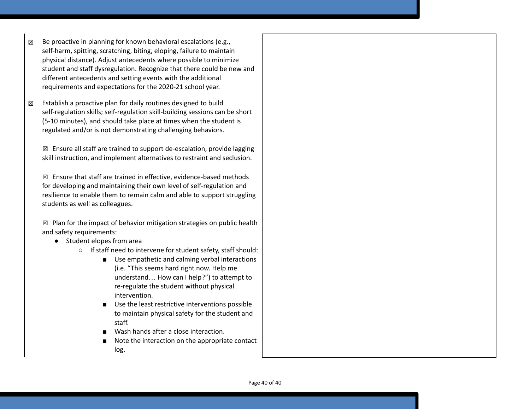- $\boxtimes$  Be proactive in planning for known behavioral escalations (e.g., self-harm, spitting, scratching, biting, eloping, failure to maintain physical distance). Adjust antecedents where possible to minimize student and staff dysregulation. Recognize that there could be new and different antecedents and setting events with the additional requirements and expectations for the 2020-21 school year.
- $\boxtimes$  Establish a proactive plan for daily routines designed to build self-regulation skills; self-regulation skill-building sessions can be short (5-10 minutes), and should take place at times when the student is regulated and/or is not demonstrating challenging behaviors.

☒ Ensure all staff are trained to support de-escalation, provide lagging skill instruction, and implement alternatives to restraint and seclusion.

 $\boxtimes$  Ensure that staff are trained in effective, evidence-based methods for developing and maintaining their own level of self-regulation and resilience to enable them to remain calm and able to support struggling students as well as colleagues.

 $\boxtimes$  Plan for the impact of behavior mitigation strategies on public health and safety requirements:

- Student elopes from area
	- If staff need to intervene for student safety, staff should:
		- Use empathetic and calming verbal interactions (i.e. "This seems hard right now. Help me understand… How can I help?") to attempt to re-regulate the student without physical intervention.
		- Use the least restrictive interventions possible to maintain physical safety for the student and staff.
		- Wash hands after a close interaction.
		- Note the interaction on the appropriate contact log.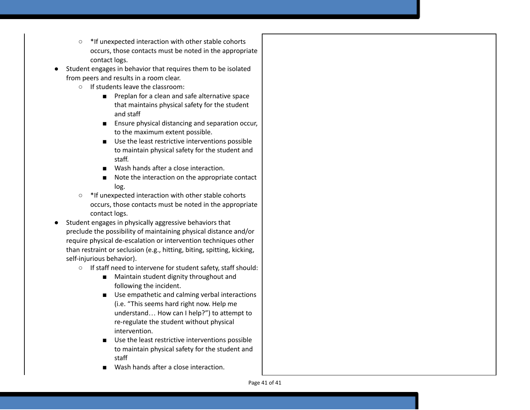- \*If unexpected interaction with other stable cohorts occurs, those contacts must be noted in the appropriate contact logs.
- Student engages in behavior that requires them to be isolated from peers and results in a room clear.
	- If students leave the classroom:
		- Preplan for a clean and safe alternative space that maintains physical safety for the student and staff
		- Ensure physical distancing and separation occur, to the maximum extent possible.
		- Use the least restrictive interventions possible to maintain physical safety for the student and staff.
		- Wash hands after a close interaction.
		- Note the interaction on the appropriate contact log.
	- \*If unexpected interaction with other stable cohorts occurs, those contacts must be noted in the appropriate contact logs.
- Student engages in physically aggressive behaviors that preclude the possibility of maintaining physical distance and/or require physical de-escalation or intervention techniques other than restraint or seclusion (e.g., hitting, biting, spitting, kicking, self-injurious behavior).
	- If staff need to intervene for student safety, staff should:
		- Maintain student dignity throughout and following the incident.
		- Use empathetic and calming verbal interactions (i.e. "This seems hard right now. Help me understand… How can I help?") to attempt to re-regulate the student without physical intervention.
		- Use the least restrictive interventions possible to maintain physical safety for the student and staff
		- Wash hands after a close interaction.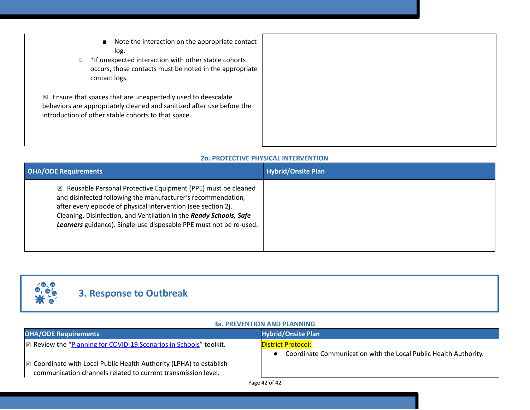- Note the interaction on the appropriate contact log.
- \*If unexpected interaction with other stable cohorts occurs, those contacts must be noted in the appropriate contact logs.

 $\boxtimes$  Ensure that spaces that are unexpectedly used to deescalate behaviors are appropriately cleaned and sanitized after use before the introduction of other stable cohorts to that space.

#### **2o. PROTECTIVE PHYSICAL INTERVENTION**

| <b>OHA/ODE Requirements</b>                                                                                                                                                                                                                                                                                                                           | <b>Hybrid/Onsite Plan</b> |
|-------------------------------------------------------------------------------------------------------------------------------------------------------------------------------------------------------------------------------------------------------------------------------------------------------------------------------------------------------|---------------------------|
| $\boxtimes$ Reusable Personal Protective Equipment (PPE) must be cleaned<br>and disinfected following the manufacturer's recommendation,<br>after every episode of physical intervention (see section 2j.<br>Cleaning, Disinfection, and Ventilation in the Ready Schools, Safe<br>Learners guidance). Single-use disposable PPE must not be re-used. |                           |



# **3. Response to Outbreak**

| <b>3a. PREVENTION AND PLANNING</b> |  |
|------------------------------------|--|
|------------------------------------|--|

| <b>OHA/ODE Requirements</b>                                                                                                          | <b>Hybrid/Onsite Plan</b>                                                                     |
|--------------------------------------------------------------------------------------------------------------------------------------|-----------------------------------------------------------------------------------------------|
| $\vert$ $\boxtimes$ Review the "Planning for COVID-19 Scenarios in Schools" toolkit.                                                 | <b>District Protocol:</b><br>Coordinate Communication with the Local Public Health Authority. |
| ⊠ Coordinate with Local Public Health Authority (LPHA) to establish<br>communication channels related to current transmission level. |                                                                                               |
|                                                                                                                                      | Page 42 of 42                                                                                 |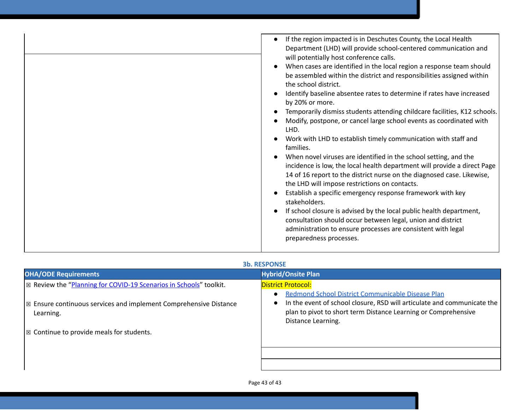| If the region impacted is in Deschutes County, the Local Health<br>Department (LHD) will provide school-centered communication and<br>will potentially host conference calls.<br>When cases are identified in the local region a response team should<br>be assembled within the district and responsibilities assigned within<br>the school district.<br>Identify baseline absentee rates to determine if rates have increased<br>by 20% or more.<br>Temporarily dismiss students attending childcare facilities, K12 schools.<br>Modify, postpone, or cancel large school events as coordinated with<br>LHD.<br>Work with LHD to establish timely communication with staff and<br>families.<br>When novel viruses are identified in the school setting, and the<br>incidence is low, the local health department will provide a direct Page<br>14 of 16 report to the district nurse on the diagnosed case. Likewise,<br>the LHD will impose restrictions on contacts.<br>Establish a specific emergency response framework with key<br>stakeholders.<br>If school closure is advised by the local public health department, |
|--------------------------------------------------------------------------------------------------------------------------------------------------------------------------------------------------------------------------------------------------------------------------------------------------------------------------------------------------------------------------------------------------------------------------------------------------------------------------------------------------------------------------------------------------------------------------------------------------------------------------------------------------------------------------------------------------------------------------------------------------------------------------------------------------------------------------------------------------------------------------------------------------------------------------------------------------------------------------------------------------------------------------------------------------------------------------------------------------------------------------------|
| consultation should occur between legal, union and district<br>administration to ensure processes are consistent with legal<br>preparedness processes.                                                                                                                                                                                                                                                                                                                                                                                                                                                                                                                                                                                                                                                                                                                                                                                                                                                                                                                                                                         |

#### **3b. RESPONSE**

| <b>OHA/ODE Requirements</b>                                                                   | <b>Hybrid/Onsite Plan</b>                                                                                                                                                                                                                      |
|-----------------------------------------------------------------------------------------------|------------------------------------------------------------------------------------------------------------------------------------------------------------------------------------------------------------------------------------------------|
| $\mathbb{Z}$ Review the "Planning for COVID-19 Scenarios in Schools" toolkit.                 | <b>District Protocol:</b>                                                                                                                                                                                                                      |
| $\vert\boxtimes$ Ensure continuous services and implement Comprehensive Distance<br>Learning. | Redmond School District Communicable Disease Plan<br>$\bullet$<br>In the event of school closure, RSD will articulate and communicate the<br>$\bullet$<br>plan to pivot to short term Distance Learning or Comprehensive<br>Distance Learning. |
| $\mathbb{R}$ Continue to provide meals for students.                                          |                                                                                                                                                                                                                                                |
|                                                                                               |                                                                                                                                                                                                                                                |
|                                                                                               |                                                                                                                                                                                                                                                |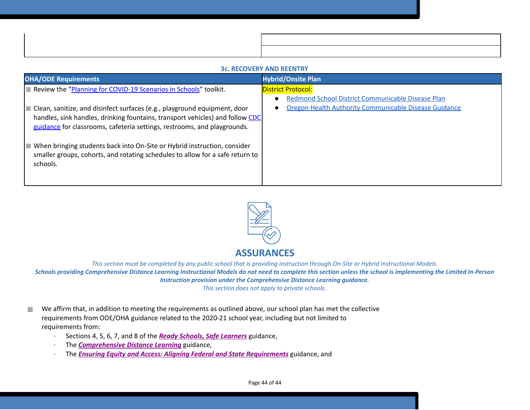| <b>3c. RECOVERY AND REENTRY</b>                                                                                                                                                                                                                            |                                                                                             |  |
|------------------------------------------------------------------------------------------------------------------------------------------------------------------------------------------------------------------------------------------------------------|---------------------------------------------------------------------------------------------|--|
| <b>OHA/ODE Requirements</b>                                                                                                                                                                                                                                | <b>Hybrid/Onsite Plan</b>                                                                   |  |
| ⊠ Review the "Planning for COVID-19 Scenarios in Schools" toolkit.                                                                                                                                                                                         | <b>District Protocol:</b><br>Redmond School District Communicable Disease Plan<br>$\bullet$ |  |
| $\vert$ $\boxtimes$ Clean, sanitize, and disinfect surfaces (e.g., playground equipment, door<br>handles, sink handles, drinking fountains, transport vehicles) and follow CDC<br>guidance for classrooms, cafeteria settings, restrooms, and playgrounds. | Oregon Health Authority Communicable Disease Guidance<br>$\bullet$                          |  |
| $\vert$ $\boxtimes$ When bringing students back into On-Site or Hybrid instruction, consider<br>smaller groups, cohorts, and rotating schedules to allow for a safe return to<br>schools.                                                                  |                                                                                             |  |





## **ASSURANCES**

This section must be completed by any public school that is providing instruction through On-Site or Hybrid Instructional Models. Schools providing Comprehensive Distance Learning Instructional Models do not need to complete this section unless the school is implementing the Limited In-Person *Instruction provision under the Comprehensive Distance Learning guidance. This section does not apply to private schools.*

- $\boxtimes$  We affirm that, in addition to meeting the requirements as outlined above, our school plan has met the collective requirements from ODE/OHA guidance related to the 2020-21 school year, including but not limited to requirements from:
	- · Sections 4, 5, 6, 7, and 8 of the *[R](https://www.oregon.gov/ode/students-and-family/healthsafety/Documents/Ready%20Schools%20Safe%20Learners%202020-21%20Guidance.pdf)eady Schools, Safe [Learners](https://www.oregon.gov/ode/students-and-family/healthsafety/Documents/Ready%20Schools%20Safe%20Learners%202020-21%20Guidance.pdf)* guidance,
	- · The *[Comprehensive](https://www.oregon.gov/ode/educator-resources/standards/Pages/Comprehensive-Distance-Learning.aspx) Distance Learning* guidance,
	- · The *Ensuring Equity and Access: Aligning Federal and State [Requirements](https://www.oregon.gov/ode/students-and-family/healthsafety/Documents/Ensuring%20Equity%20and%20Access%20Aligning%20State%20and%20Federal%20Requirements.pdf)* guidance, and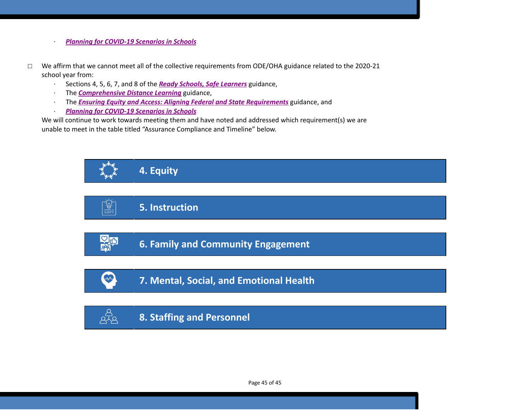- · *Planning for [COVID-19](https://www.oregon.gov/ode/students-and-family/healthsafety/Documents/Planning%20and%20Responding%20to%20COVID-19%20Scenarios%20in%20Schools%20August%202020.pdf) Scenarios in Schools*
- ☐ We affirm that we cannot meet all of the collective requirements from ODE/OHA guidance related to the 2020-21 school year from:
	- · Sections 4, 5, 6, 7, and 8 of the *[R](https://www.oregon.gov/ode/students-and-family/healthsafety/Documents/Ready%20Schools%20Safe%20Learners%202020-21%20Guidance.pdf)eady Schools, Safe [Learners](https://www.oregon.gov/ode/students-and-family/healthsafety/Documents/Ready%20Schools%20Safe%20Learners%202020-21%20Guidance.pdf)* guidance,
	- · The *[Comprehensive](https://www.oregon.gov/ode/educator-resources/standards/Pages/Comprehensive-Distance-Learning.aspx) Distance Learning* guidance,
	- · The *Ensuring Equity and Access: Aligning Federal and State [Requirements](https://www.oregon.gov/ode/students-and-family/healthsafety/Documents/Ensuring%20Equity%20and%20Access%20Aligning%20State%20and%20Federal%20Requirements.pdf)* guidance, and
	- · *Planning for [COVID-19](https://www.oregon.gov/ode/students-and-family/healthsafety/Documents/Planning%20and%20Responding%20to%20COVID-19%20Scenarios%20in%20Schools%20August%202020.pdf) Scenarios in Schools*

We will continue to work towards meeting them and have noted and addressed which requirement(s) we are unable to meet in the table titled "Assurance Compliance and Timeline" below.